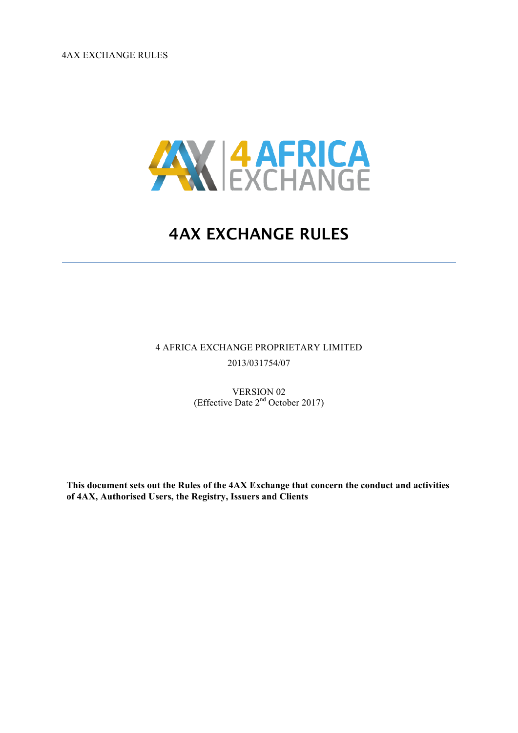4AX EXCHANGE RULES



# **4AX EXCHANGE RULES**

4 AFRICA EXCHANGE PROPRIETARY LIMITED 2013/031754/07

> VERSION 02 (Effective Date 2nd October 2017)

**This document sets out the Rules of the 4AX Exchange that concern the conduct and activities of 4AX, Authorised Users, the Registry, Issuers and Clients**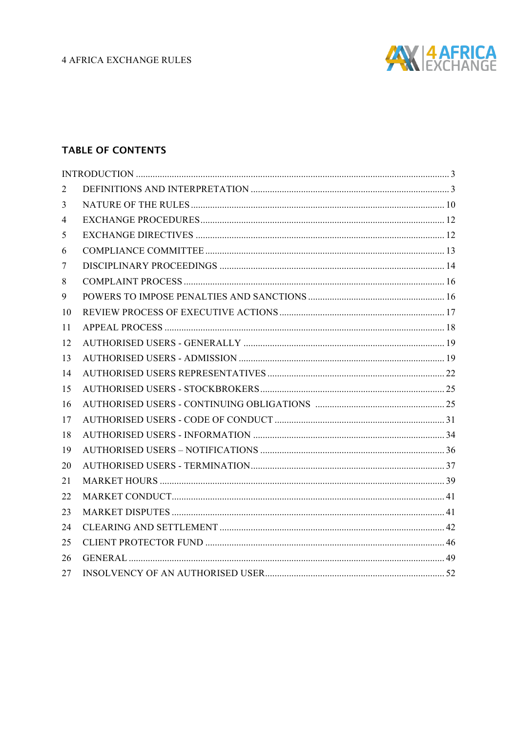

## **TABLE OF CONTENTS**

| 2  |  |
|----|--|
| 3  |  |
| 4  |  |
| 5  |  |
| 6  |  |
| 7  |  |
| 8  |  |
| 9  |  |
| 10 |  |
| 11 |  |
| 12 |  |
| 13 |  |
| 14 |  |
| 15 |  |
| 16 |  |
| 17 |  |
| 18 |  |
| 19 |  |
| 20 |  |
| 21 |  |
| 22 |  |
| 23 |  |
| 24 |  |
| 25 |  |
| 26 |  |
| 27 |  |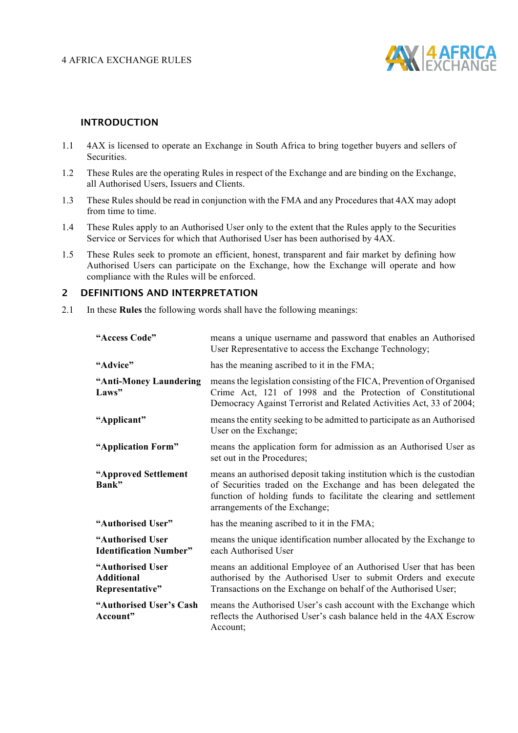

#### **INTRODUCTION**

- 1.1 4AX is licensed to operate an Exchange in South Africa to bring together buyers and sellers of Securities.
- 1.2 These Rules are the operating Rules in respect of the Exchange and are binding on the Exchange, all Authorised Users, Issuers and Clients.
- 1.3 These Rules should be read in conjunction with the FMA and any Procedures that 4AX may adopt from time to time.
- 1.4 These Rules apply to an Authorised User only to the extent that the Rules apply to the Securities Service or Services for which that Authorised User has been authorised by 4AX.
- 1.5 These Rules seek to promote an efficient, honest, transparent and fair market by defining how Authorised Users can participate on the Exchange, how the Exchange will operate and how compliance with the Rules will be enforced.

#### **2 DEFINITIONS AND INTERPRETATION**

2.1 In these **Rules** the following words shall have the following meanings:

| "Access Code"                                            | means a unique username and password that enables an Authorised<br>User Representative to access the Exchange Technology;                                                                                                                        |
|----------------------------------------------------------|--------------------------------------------------------------------------------------------------------------------------------------------------------------------------------------------------------------------------------------------------|
| "Advice"                                                 | has the meaning ascribed to it in the FMA;                                                                                                                                                                                                       |
| "Anti-Money Laundering<br>Laws"                          | means the legislation consisting of the FICA, Prevention of Organised<br>Crime Act, 121 of 1998 and the Protection of Constitutional<br>Democracy Against Terrorist and Related Activities Act, 33 of 2004;                                      |
| "Applicant"                                              | means the entity seeking to be admitted to participate as an Authorised<br>User on the Exchange;                                                                                                                                                 |
| "Application Form"                                       | means the application form for admission as an Authorised User as<br>set out in the Procedures;                                                                                                                                                  |
| "Approved Settlement<br>Bank"                            | means an authorised deposit taking institution which is the custodian<br>of Securities traded on the Exchange and has been delegated the<br>function of holding funds to facilitate the clearing and settlement<br>arrangements of the Exchange; |
| "Authorised User"                                        | has the meaning ascribed to it in the FMA;                                                                                                                                                                                                       |
| "Authorised User<br><b>Identification Number"</b>        | means the unique identification number allocated by the Exchange to<br>each Authorised User                                                                                                                                                      |
| "Authorised User<br><b>Additional</b><br>Representative" | means an additional Employee of an Authorised User that has been<br>authorised by the Authorised User to submit Orders and execute<br>Transactions on the Exchange on behalf of the Authorised User;                                             |
| "Authorised User's Cash<br>Account"                      | means the Authorised User's cash account with the Exchange which<br>reflects the Authorised User's cash balance held in the 4AX Escrow<br>Account;                                                                                               |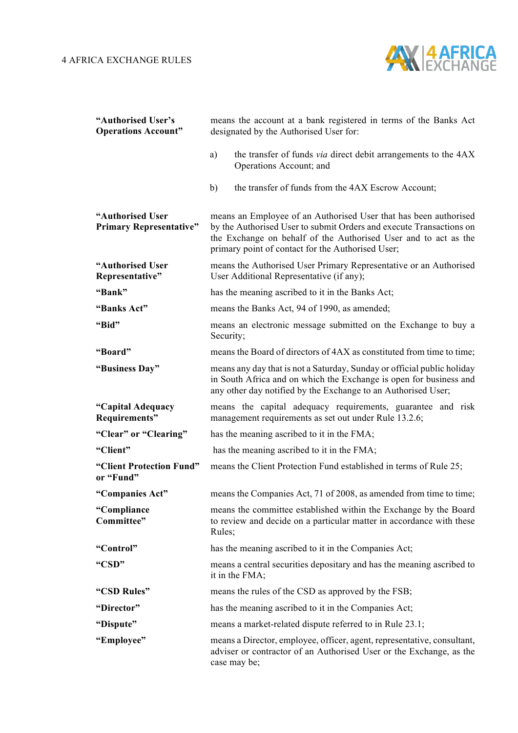

| "Authorised User's<br><b>Operations Account"</b>   | means the account at a bank registered in terms of the Banks Act<br>designated by the Authorised User for:                                                                                                                                                      |  |  |
|----------------------------------------------------|-----------------------------------------------------------------------------------------------------------------------------------------------------------------------------------------------------------------------------------------------------------------|--|--|
|                                                    | the transfer of funds <i>via</i> direct debit arrangements to the 4AX<br>a)<br>Operations Account; and                                                                                                                                                          |  |  |
|                                                    | the transfer of funds from the 4AX Escrow Account;<br>b)                                                                                                                                                                                                        |  |  |
| "Authorised User<br><b>Primary Representative"</b> | means an Employee of an Authorised User that has been authorised<br>by the Authorised User to submit Orders and execute Transactions on<br>the Exchange on behalf of the Authorised User and to act as the<br>primary point of contact for the Authorised User; |  |  |
| "Authorised User<br>Representative"                | means the Authorised User Primary Representative or an Authorised<br>User Additional Representative (if any);                                                                                                                                                   |  |  |
| "Bank"                                             | has the meaning ascribed to it in the Banks Act;                                                                                                                                                                                                                |  |  |
| "Banks Act"                                        | means the Banks Act, 94 of 1990, as amended;                                                                                                                                                                                                                    |  |  |
| "Bid"                                              | means an electronic message submitted on the Exchange to buy a<br>Security;                                                                                                                                                                                     |  |  |
| "Board"                                            | means the Board of directors of 4AX as constituted from time to time;                                                                                                                                                                                           |  |  |
| "Business Day"                                     | means any day that is not a Saturday, Sunday or official public holiday<br>in South Africa and on which the Exchange is open for business and<br>any other day notified by the Exchange to an Authorised User;                                                  |  |  |
| "Capital Adequacy<br>Requirements"                 | means the capital adequacy requirements, guarantee and risk<br>management requirements as set out under Rule 13.2.6;                                                                                                                                            |  |  |
| "Clear" or "Clearing"                              | has the meaning ascribed to it in the FMA;                                                                                                                                                                                                                      |  |  |
| "Client"                                           | has the meaning ascribed to it in the FMA;                                                                                                                                                                                                                      |  |  |
| "Client Protection Fund"<br>or "Fund"              | means the Client Protection Fund established in terms of Rule 25;                                                                                                                                                                                               |  |  |
| "Companies Act"                                    | means the Companies Act, 71 of 2008, as amended from time to time;                                                                                                                                                                                              |  |  |
| "Compliance<br>Committee"                          | means the committee established within the Exchange by the Board<br>to review and decide on a particular matter in accordance with these<br>Rules;                                                                                                              |  |  |
| "Control"                                          | has the meaning ascribed to it in the Companies Act;                                                                                                                                                                                                            |  |  |
| "CSD"                                              | means a central securities depositary and has the meaning ascribed to<br>it in the FMA;                                                                                                                                                                         |  |  |
| "CSD Rules"                                        | means the rules of the CSD as approved by the FSB;                                                                                                                                                                                                              |  |  |
| "Director"                                         | has the meaning ascribed to it in the Companies Act;                                                                                                                                                                                                            |  |  |
| "Dispute"                                          | means a market-related dispute referred to in Rule 23.1;                                                                                                                                                                                                        |  |  |
| "Employee"                                         | means a Director, employee, officer, agent, representative, consultant,<br>adviser or contractor of an Authorised User or the Exchange, as the<br>case may be;                                                                                                  |  |  |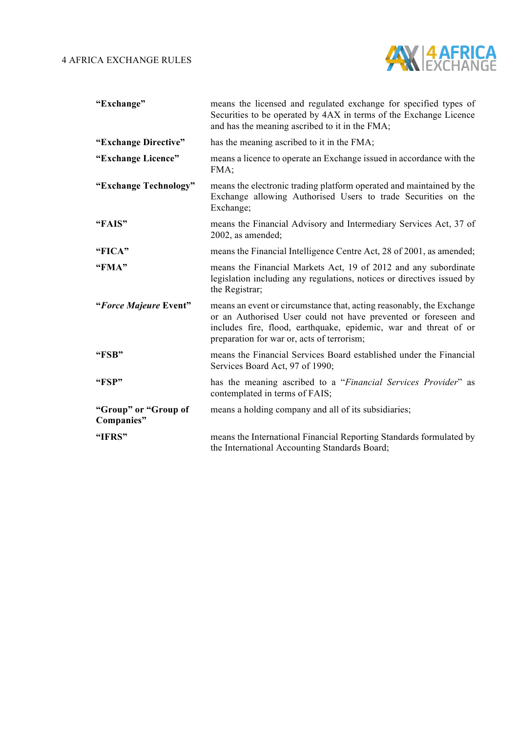

| "Exchange"                         | means the licensed and regulated exchange for specified types of<br>Securities to be operated by 4AX in terms of the Exchange Licence<br>and has the meaning ascribed to it in the FMA;                                                                  |
|------------------------------------|----------------------------------------------------------------------------------------------------------------------------------------------------------------------------------------------------------------------------------------------------------|
| "Exchange Directive"               | has the meaning ascribed to it in the FMA;                                                                                                                                                                                                               |
| "Exchange Licence"                 | means a licence to operate an Exchange issued in accordance with the<br>FMA;                                                                                                                                                                             |
| "Exchange Technology"              | means the electronic trading platform operated and maintained by the<br>Exchange allowing Authorised Users to trade Securities on the<br>Exchange;                                                                                                       |
| "FAIS"                             | means the Financial Advisory and Intermediary Services Act, 37 of<br>2002, as amended;                                                                                                                                                                   |
| "FICA"                             | means the Financial Intelligence Centre Act, 28 of 2001, as amended;                                                                                                                                                                                     |
| "FMA"                              | means the Financial Markets Act, 19 of 2012 and any subordinate<br>legislation including any regulations, notices or directives issued by<br>the Registrar;                                                                                              |
| "Force Majeure Event"              | means an event or circumstance that, acting reasonably, the Exchange<br>or an Authorised User could not have prevented or foreseen and<br>includes fire, flood, earthquake, epidemic, war and threat of or<br>preparation for war or, acts of terrorism; |
| "FSB"                              | means the Financial Services Board established under the Financial<br>Services Board Act, 97 of 1990;                                                                                                                                                    |
| "FSP"                              | has the meaning ascribed to a "Financial Services Provider" as<br>contemplated in terms of FAIS;                                                                                                                                                         |
| "Group" or "Group of<br>Companies" | means a holding company and all of its subsidiaries;                                                                                                                                                                                                     |
| "IFRS"                             | means the International Financial Reporting Standards formulated by<br>the International Accounting Standards Board;                                                                                                                                     |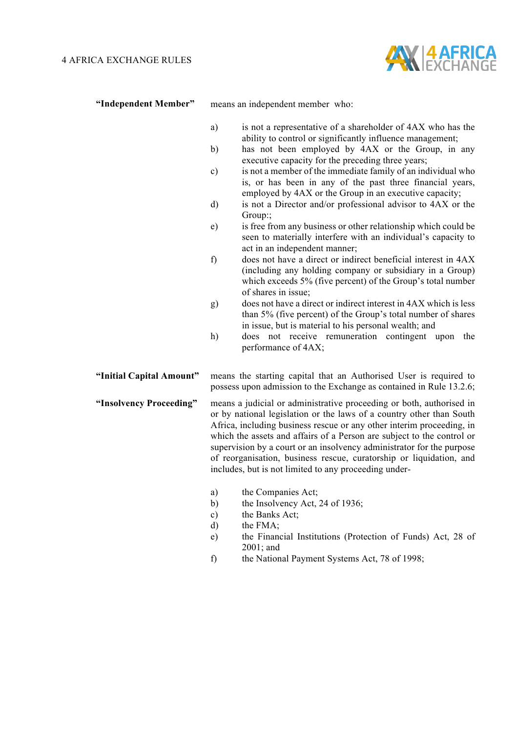

**"Independent Member"** means an independent member who:

- a) is not a representative of a shareholder of 4AX who has the ability to control or significantly influence management;
- b) has not been employed by 4AX or the Group, in any executive capacity for the preceding three years;
- c) is not a member of the immediate family of an individual who is, or has been in any of the past three financial years, employed by 4AX or the Group in an executive capacity;
- d) is not a Director and/or professional advisor to 4AX or the Group:;
- e) is free from any business or other relationship which could be seen to materially interfere with an individual's capacity to act in an independent manner;
- f) does not have a direct or indirect beneficial interest in 4AX (including any holding company or subsidiary in a Group) which exceeds 5% (five percent) of the Group's total number of shares in issue;
- g) does not have a direct or indirect interest in 4AX which is less than 5% (five percent) of the Group's total number of shares in issue, but is material to his personal wealth; and
- h) does not receive remuneration contingent upon the performance of 4AX;

**"Initial Capital Amount"** means the starting capital that an Authorised User is required to possess upon admission to the Exchange as contained in Rule 13.2.6;

- **"Insolvency Proceeding"** means a judicial or administrative proceeding or both, authorised in or by national legislation or the laws of a country other than South Africa, including business rescue or any other interim proceeding, in which the assets and affairs of a Person are subject to the control or supervision by a court or an insolvency administrator for the purpose of reorganisation, business rescue, curatorship or liquidation, and includes, but is not limited to any proceeding under
	- a) the Companies Act;
	- b) the Insolvency Act, 24 of 1936;
	- c) the Banks Act;
	- d) the FMA;
	- e) the Financial Institutions (Protection of Funds) Act, 28 of 2001; and
	- f) the National Payment Systems Act, 78 of 1998;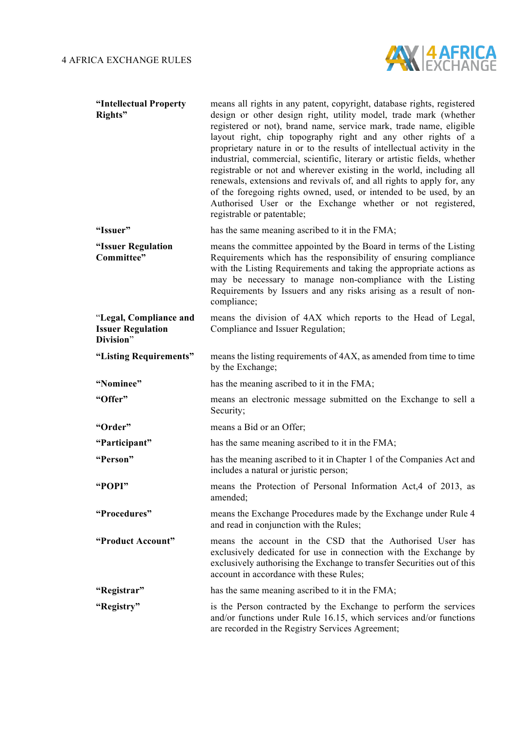

| "Intellectual Property<br>Rights"                               | means all rights in any patent, copyright, database rights, registered<br>design or other design right, utility model, trade mark (whether<br>registered or not), brand name, service mark, trade name, eligible<br>layout right, chip topography right and any other rights of a<br>proprietary nature in or to the results of intellectual activity in the<br>industrial, commercial, scientific, literary or artistic fields, whether<br>registrable or not and wherever existing in the world, including all<br>renewals, extensions and revivals of, and all rights to apply for, any<br>of the foregoing rights owned, used, or intended to be used, by an<br>Authorised User or the Exchange whether or not registered,<br>registrable or patentable; |
|-----------------------------------------------------------------|--------------------------------------------------------------------------------------------------------------------------------------------------------------------------------------------------------------------------------------------------------------------------------------------------------------------------------------------------------------------------------------------------------------------------------------------------------------------------------------------------------------------------------------------------------------------------------------------------------------------------------------------------------------------------------------------------------------------------------------------------------------|
| "Issuer"                                                        | has the same meaning ascribed to it in the FMA;                                                                                                                                                                                                                                                                                                                                                                                                                                                                                                                                                                                                                                                                                                              |
| "Issuer Regulation<br>Committee"                                | means the committee appointed by the Board in terms of the Listing<br>Requirements which has the responsibility of ensuring compliance<br>with the Listing Requirements and taking the appropriate actions as<br>may be necessary to manage non-compliance with the Listing<br>Requirements by Issuers and any risks arising as a result of non-<br>compliance;                                                                                                                                                                                                                                                                                                                                                                                              |
| "Legal, Compliance and<br><b>Issuer Regulation</b><br>Division" | means the division of 4AX which reports to the Head of Legal,<br>Compliance and Issuer Regulation;                                                                                                                                                                                                                                                                                                                                                                                                                                                                                                                                                                                                                                                           |
| "Listing Requirements"                                          | means the listing requirements of 4AX, as amended from time to time<br>by the Exchange;                                                                                                                                                                                                                                                                                                                                                                                                                                                                                                                                                                                                                                                                      |
| "Nominee"                                                       | has the meaning ascribed to it in the FMA;                                                                                                                                                                                                                                                                                                                                                                                                                                                                                                                                                                                                                                                                                                                   |
| "Offer"                                                         | means an electronic message submitted on the Exchange to sell a<br>Security;                                                                                                                                                                                                                                                                                                                                                                                                                                                                                                                                                                                                                                                                                 |
| "Order"                                                         | means a Bid or an Offer;                                                                                                                                                                                                                                                                                                                                                                                                                                                                                                                                                                                                                                                                                                                                     |
| "Participant"                                                   | has the same meaning ascribed to it in the FMA;                                                                                                                                                                                                                                                                                                                                                                                                                                                                                                                                                                                                                                                                                                              |
| "Person"                                                        | has the meaning ascribed to it in Chapter 1 of the Companies Act and<br>includes a natural or juristic person;                                                                                                                                                                                                                                                                                                                                                                                                                                                                                                                                                                                                                                               |
| "POPI"                                                          | means the Protection of Personal Information Act, 4 of 2013, as<br>amended;                                                                                                                                                                                                                                                                                                                                                                                                                                                                                                                                                                                                                                                                                  |
| "Procedures"                                                    | means the Exchange Procedures made by the Exchange under Rule 4<br>and read in conjunction with the Rules;                                                                                                                                                                                                                                                                                                                                                                                                                                                                                                                                                                                                                                                   |
| "Product Account"                                               | means the account in the CSD that the Authorised User has<br>exclusively dedicated for use in connection with the Exchange by<br>exclusively authorising the Exchange to transfer Securities out of this<br>account in accordance with these Rules;                                                                                                                                                                                                                                                                                                                                                                                                                                                                                                          |
| "Registrar"                                                     | has the same meaning ascribed to it in the FMA;                                                                                                                                                                                                                                                                                                                                                                                                                                                                                                                                                                                                                                                                                                              |
| "Registry"                                                      | is the Person contracted by the Exchange to perform the services<br>and/or functions under Rule 16.15, which services and/or functions<br>are recorded in the Registry Services Agreement;                                                                                                                                                                                                                                                                                                                                                                                                                                                                                                                                                                   |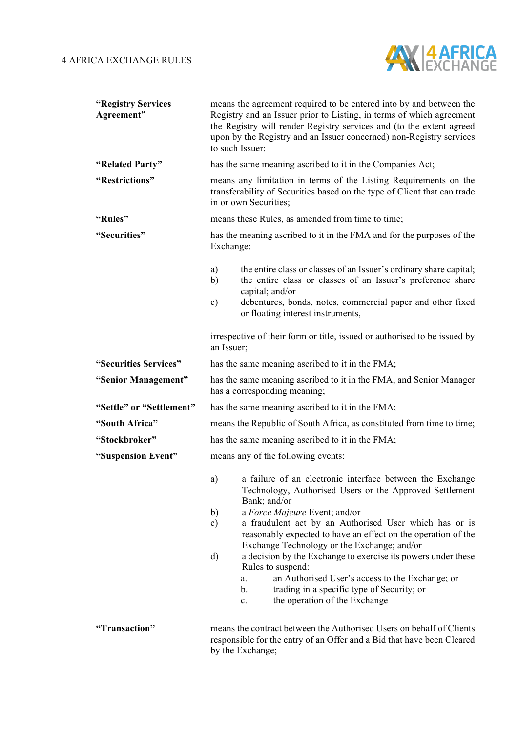

| "Registry Services<br>Agreement" | means the agreement required to be entered into by and between the<br>Registry and an Issuer prior to Listing, in terms of which agreement<br>the Registry will render Registry services and (to the extent agreed<br>upon by the Registry and an Issuer concerned) non-Registry services<br>to such Issuer; |                                                                                                                                                                         |  |  |
|----------------------------------|--------------------------------------------------------------------------------------------------------------------------------------------------------------------------------------------------------------------------------------------------------------------------------------------------------------|-------------------------------------------------------------------------------------------------------------------------------------------------------------------------|--|--|
| "Related Party"                  |                                                                                                                                                                                                                                                                                                              | has the same meaning ascribed to it in the Companies Act;                                                                                                               |  |  |
| "Restrictions"                   | means any limitation in terms of the Listing Requirements on the<br>transferability of Securities based on the type of Client that can trade<br>in or own Securities:                                                                                                                                        |                                                                                                                                                                         |  |  |
| "Rules"                          | means these Rules, as amended from time to time;                                                                                                                                                                                                                                                             |                                                                                                                                                                         |  |  |
| "Securities"                     | Exchange:                                                                                                                                                                                                                                                                                                    | has the meaning ascribed to it in the FMA and for the purposes of the                                                                                                   |  |  |
|                                  | a)<br>b)                                                                                                                                                                                                                                                                                                     | the entire class or classes of an Issuer's ordinary share capital;<br>the entire class or classes of an Issuer's preference share<br>capital; and/or                    |  |  |
|                                  | $\mathbf{c})$                                                                                                                                                                                                                                                                                                | debentures, bonds, notes, commercial paper and other fixed<br>or floating interest instruments,                                                                         |  |  |
|                                  | irrespective of their form or title, issued or authorised to be issued by<br>an Issuer;                                                                                                                                                                                                                      |                                                                                                                                                                         |  |  |
| "Securities Services"            |                                                                                                                                                                                                                                                                                                              | has the same meaning ascribed to it in the FMA;                                                                                                                         |  |  |
| "Senior Management"              |                                                                                                                                                                                                                                                                                                              | has the same meaning ascribed to it in the FMA, and Senior Manager<br>has a corresponding meaning;                                                                      |  |  |
| "Settle" or "Settlement"         |                                                                                                                                                                                                                                                                                                              | has the same meaning ascribed to it in the FMA;                                                                                                                         |  |  |
| "South Africa"                   |                                                                                                                                                                                                                                                                                                              | means the Republic of South Africa, as constituted from time to time;                                                                                                   |  |  |
| "Stockbroker"                    |                                                                                                                                                                                                                                                                                                              | has the same meaning ascribed to it in the FMA;                                                                                                                         |  |  |
| "Suspension Event"               | means any of the following events:                                                                                                                                                                                                                                                                           |                                                                                                                                                                         |  |  |
|                                  | a)                                                                                                                                                                                                                                                                                                           | a failure of an electronic interface between the Exchange<br>Technology, Authorised Users or the Approved Settlement<br>Bank; and/or                                    |  |  |
|                                  | b)                                                                                                                                                                                                                                                                                                           | a Force Majeure Event; and/or                                                                                                                                           |  |  |
|                                  | $\mathbf{c})$                                                                                                                                                                                                                                                                                                | a fraudulent act by an Authorised User which has or is<br>reasonably expected to have an effect on the operation of the<br>Exchange Technology or the Exchange; and/or  |  |  |
|                                  | $\rm d)$                                                                                                                                                                                                                                                                                                     | a decision by the Exchange to exercise its powers under these<br>Rules to suspend:                                                                                      |  |  |
|                                  |                                                                                                                                                                                                                                                                                                              | an Authorised User's access to the Exchange; or<br>a.<br>$\mathbf b$ .<br>trading in a specific type of Security; or<br>the operation of the Exchange<br>$\mathbf{c}$ . |  |  |
| "Transaction"                    |                                                                                                                                                                                                                                                                                                              | means the contract between the Authorised Users on behalf of Clients<br>responsible for the entry of an Offer and a Bid that have been Cleared<br>by the Exchange;      |  |  |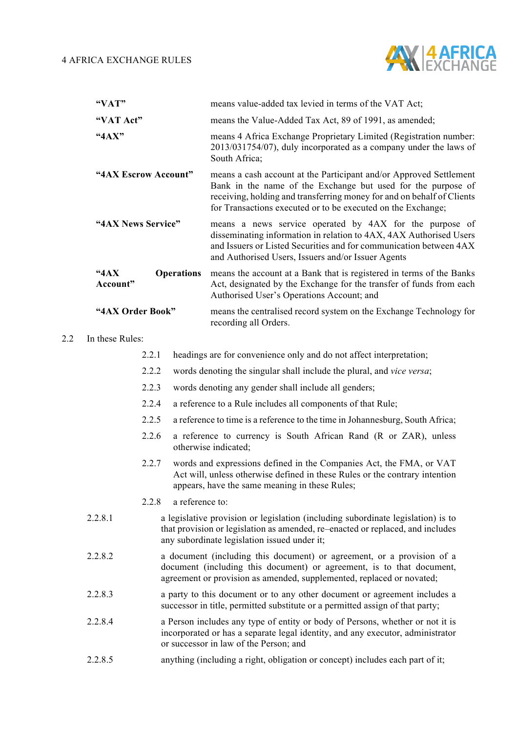

|       | "VAT"                                                                                        |       |                                                             | means value-added tax levied in terms of the VAT Act;                                                                                                                                                                                                                        |
|-------|----------------------------------------------------------------------------------------------|-------|-------------------------------------------------------------|------------------------------------------------------------------------------------------------------------------------------------------------------------------------------------------------------------------------------------------------------------------------------|
|       | "VAT Act"                                                                                    |       |                                                             | means the Value-Added Tax Act, 89 of 1991, as amended;                                                                                                                                                                                                                       |
|       | "4AX"<br>"4AX Escrow Account"<br>"4AX News Service"<br>44AX<br><b>Operations</b><br>Account" |       |                                                             | means 4 Africa Exchange Proprietary Limited (Registration number:<br>2013/031754/07), duly incorporated as a company under the laws of<br>South Africa;                                                                                                                      |
|       |                                                                                              |       |                                                             | means a cash account at the Participant and/or Approved Settlement<br>Bank in the name of the Exchange but used for the purpose of<br>receiving, holding and transferring money for and on behalf of Clients<br>for Transactions executed or to be executed on the Exchange; |
|       |                                                                                              |       |                                                             | means a news service operated by 4AX for the purpose of<br>disseminating information in relation to 4AX, 4AX Authorised Users<br>and Issuers or Listed Securities and for communication between 4AX<br>and Authorised Users, Issuers and/or Issuer Agents                    |
|       |                                                                                              |       |                                                             | means the account at a Bank that is registered in terms of the Banks<br>Act, designated by the Exchange for the transfer of funds from each<br>Authorised User's Operations Account; and                                                                                     |
|       | "4AX Order Book"                                                                             |       |                                                             | means the centralised record system on the Exchange Technology for<br>recording all Orders.                                                                                                                                                                                  |
| 2.2   | In these Rules:                                                                              |       |                                                             |                                                                                                                                                                                                                                                                              |
|       |                                                                                              | 2.2.1 |                                                             | headings are for convenience only and do not affect interpretation;                                                                                                                                                                                                          |
|       |                                                                                              | 2.2.2 |                                                             | words denoting the singular shall include the plural, and vice versa;                                                                                                                                                                                                        |
|       |                                                                                              | 2.2.3 |                                                             | words denoting any gender shall include all genders;                                                                                                                                                                                                                         |
| 2.2.4 |                                                                                              |       | a reference to a Rule includes all components of that Rule; |                                                                                                                                                                                                                                                                              |
|       | 2.2.5                                                                                        |       |                                                             | a reference to time is a reference to the time in Johannesburg, South Africa;                                                                                                                                                                                                |
|       |                                                                                              | 2.2.6 |                                                             | a reference to currency is South African Rand (R or ZAR), unless<br>otherwise indicated;                                                                                                                                                                                     |
|       |                                                                                              | 2.2.7 |                                                             | words and expressions defined in the Companies Act, the FMA, or VAT<br>Act will, unless otherwise defined in these Rules or the contrary intention<br>appears, have the same meaning in these Rules;                                                                         |
|       |                                                                                              | 2.2.8 | a reference to:                                             |                                                                                                                                                                                                                                                                              |
|       | 2.2.8.1                                                                                      |       |                                                             | a legislative provision or legislation (including subordinate legislation) is to                                                                                                                                                                                             |

- that provision or legislation as amended, re–enacted or replaced, and includes any subordinate legislation issued under it;
- 2.2.8.2 a document (including this document) or agreement, or a provision of a document (including this document) or agreement, is to that document, agreement or provision as amended, supplemented, replaced or novated;
- 2.2.8.3 a party to this document or to any other document or agreement includes a successor in title, permitted substitute or a permitted assign of that party;
- 2.2.8.4 a Person includes any type of entity or body of Persons, whether or not it is incorporated or has a separate legal identity, and any executor, administrator or successor in law of the Person; and
- 2.2.8.5 anything (including a right, obligation or concept) includes each part of it;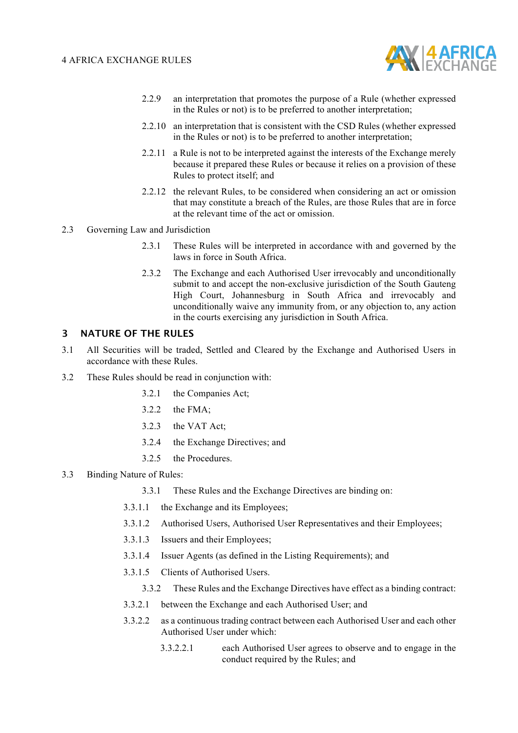

- 2.2.9 an interpretation that promotes the purpose of a Rule (whether expressed in the Rules or not) is to be preferred to another interpretation;
- 2.2.10 an interpretation that is consistent with the CSD Rules (whether expressed in the Rules or not) is to be preferred to another interpretation;
- 2.2.11 a Rule is not to be interpreted against the interests of the Exchange merely because it prepared these Rules or because it relies on a provision of these Rules to protect itself; and
- 2.2.12 the relevant Rules, to be considered when considering an act or omission that may constitute a breach of the Rules, are those Rules that are in force at the relevant time of the act or omission.
- 2.3 Governing Law and Jurisdiction
	- 2.3.1 These Rules will be interpreted in accordance with and governed by the laws in force in South Africa.
	- 2.3.2 The Exchange and each Authorised User irrevocably and unconditionally submit to and accept the non-exclusive jurisdiction of the South Gauteng High Court, Johannesburg in South Africa and irrevocably and unconditionally waive any immunity from, or any objection to, any action in the courts exercising any jurisdiction in South Africa.

#### **3 NATURE OF THE RULES**

- 3.1 All Securities will be traded, Settled and Cleared by the Exchange and Authorised Users in accordance with these Rules.
- 3.2 These Rules should be read in conjunction with:
	- 3.2.1 the Companies Act;
	- 3.2.2 the FMA;
	- 3.2.3 the VAT Act;
	- 3.2.4 the Exchange Directives; and
	- 3.2.5 the Procedures.
- 3.3 Binding Nature of Rules:
	- 3.3.1 These Rules and the Exchange Directives are binding on:
	- 3.3.1.1 the Exchange and its Employees;
	- 3.3.1.2 Authorised Users, Authorised User Representatives and their Employees;
	- 3.3.1.3 Issuers and their Employees;
	- 3.3.1.4 Issuer Agents (as defined in the Listing Requirements); and
	- 3.3.1.5 Clients of Authorised Users.
		- 3.3.2 These Rules and the Exchange Directives have effect as a binding contract:
	- 3.3.2.1 between the Exchange and each Authorised User; and
	- 3.3.2.2 as a continuous trading contract between each Authorised User and each other Authorised User under which:
		- 3.3.2.2.1 each Authorised User agrees to observe and to engage in the conduct required by the Rules; and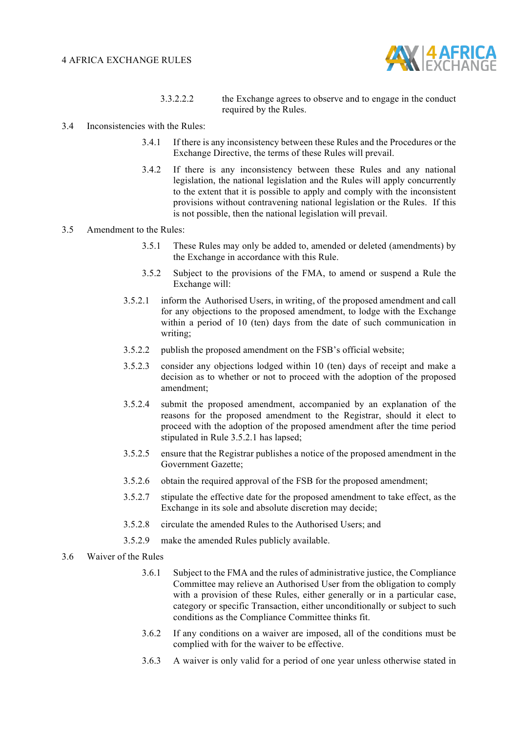

- 3.3.2.2.2 the Exchange agrees to observe and to engage in the conduct required by the Rules.
- 3.4 Inconsistencies with the Rules:
	- 3.4.1 If there is any inconsistency between these Rules and the Procedures or the Exchange Directive, the terms of these Rules will prevail.
	- 3.4.2 If there is any inconsistency between these Rules and any national legislation, the national legislation and the Rules will apply concurrently to the extent that it is possible to apply and comply with the inconsistent provisions without contravening national legislation or the Rules. If this is not possible, then the national legislation will prevail.

#### 3.5 Amendment to the Rules:

- 3.5.1 These Rules may only be added to, amended or deleted (amendments) by the Exchange in accordance with this Rule.
- 3.5.2 Subject to the provisions of the FMA, to amend or suspend a Rule the Exchange will:
- 3.5.2.1 inform the Authorised Users, in writing, of the proposed amendment and call for any objections to the proposed amendment, to lodge with the Exchange within a period of 10 (ten) days from the date of such communication in writing;
- 3.5.2.2 publish the proposed amendment on the FSB's official website;
- 3.5.2.3 consider any objections lodged within 10 (ten) days of receipt and make a decision as to whether or not to proceed with the adoption of the proposed amendment;
- 3.5.2.4 submit the proposed amendment, accompanied by an explanation of the reasons for the proposed amendment to the Registrar, should it elect to proceed with the adoption of the proposed amendment after the time period stipulated in Rule 3.5.2.1 has lapsed;
- 3.5.2.5 ensure that the Registrar publishes a notice of the proposed amendment in the Government Gazette;
- 3.5.2.6 obtain the required approval of the FSB for the proposed amendment;
- 3.5.2.7 stipulate the effective date for the proposed amendment to take effect, as the Exchange in its sole and absolute discretion may decide;
- 3.5.2.8 circulate the amended Rules to the Authorised Users; and
- 3.5.2.9 make the amended Rules publicly available.
- 3.6 Waiver of the Rules
	- 3.6.1 Subject to the FMA and the rules of administrative justice, the Compliance Committee may relieve an Authorised User from the obligation to comply with a provision of these Rules, either generally or in a particular case, category or specific Transaction, either unconditionally or subject to such conditions as the Compliance Committee thinks fit.
	- 3.6.2 If any conditions on a waiver are imposed, all of the conditions must be complied with for the waiver to be effective.
	- 3.6.3 A waiver is only valid for a period of one year unless otherwise stated in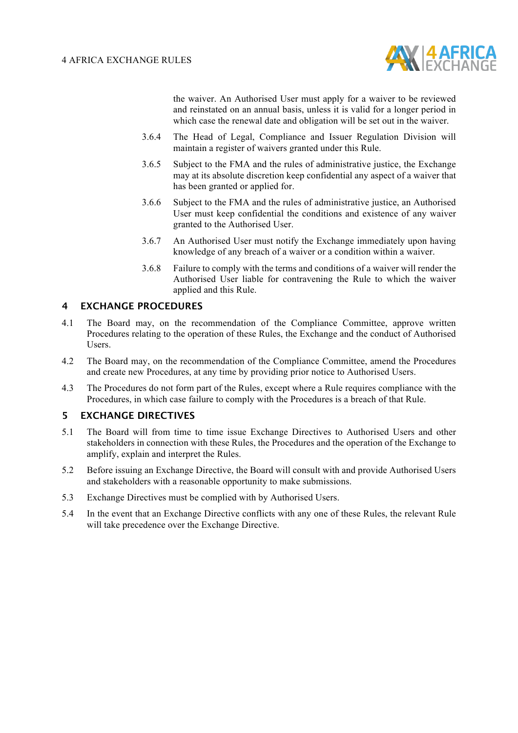

the waiver. An Authorised User must apply for a waiver to be reviewed and reinstated on an annual basis, unless it is valid for a longer period in which case the renewal date and obligation will be set out in the waiver.

- 3.6.4 The Head of Legal, Compliance and Issuer Regulation Division will maintain a register of waivers granted under this Rule.
- 3.6.5 Subject to the FMA and the rules of administrative justice, the Exchange may at its absolute discretion keep confidential any aspect of a waiver that has been granted or applied for.
- 3.6.6 Subject to the FMA and the rules of administrative justice, an Authorised User must keep confidential the conditions and existence of any waiver granted to the Authorised User.
- 3.6.7 An Authorised User must notify the Exchange immediately upon having knowledge of any breach of a waiver or a condition within a waiver.
- 3.6.8 Failure to comply with the terms and conditions of a waiver will render the Authorised User liable for contravening the Rule to which the waiver applied and this Rule.

#### **4 EXCHANGE PROCEDURES**

- 4.1 The Board may, on the recommendation of the Compliance Committee, approve written Procedures relating to the operation of these Rules, the Exchange and the conduct of Authorised Users.
- 4.2 The Board may, on the recommendation of the Compliance Committee, amend the Procedures and create new Procedures, at any time by providing prior notice to Authorised Users.
- 4.3 The Procedures do not form part of the Rules, except where a Rule requires compliance with the Procedures, in which case failure to comply with the Procedures is a breach of that Rule.

#### **5 EXCHANGE DIRECTIVES**

- 5.1 The Board will from time to time issue Exchange Directives to Authorised Users and other stakeholders in connection with these Rules, the Procedures and the operation of the Exchange to amplify, explain and interpret the Rules.
- 5.2 Before issuing an Exchange Directive, the Board will consult with and provide Authorised Users and stakeholders with a reasonable opportunity to make submissions.
- 5.3 Exchange Directives must be complied with by Authorised Users.
- 5.4 In the event that an Exchange Directive conflicts with any one of these Rules, the relevant Rule will take precedence over the Exchange Directive.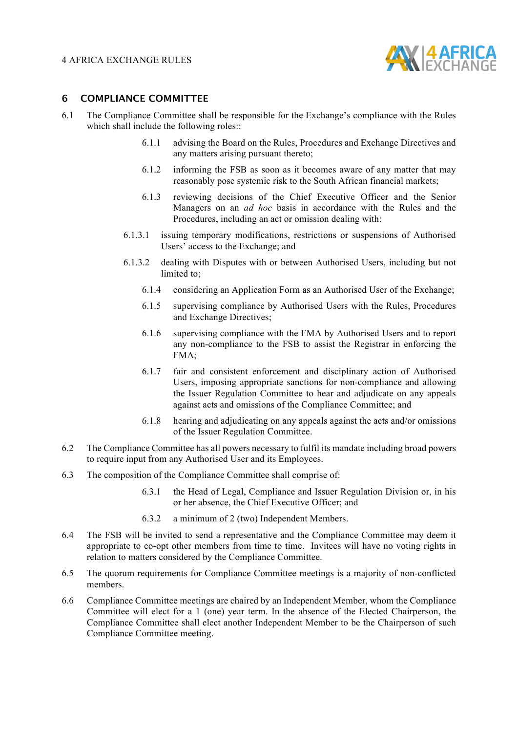

#### **6 COMPLIANCE COMMITTEE**

- 6.1 The Compliance Committee shall be responsible for the Exchange's compliance with the Rules which shall include the following roles::
	- 6.1.1 advising the Board on the Rules, Procedures and Exchange Directives and any matters arising pursuant thereto;
	- 6.1.2 informing the FSB as soon as it becomes aware of any matter that may reasonably pose systemic risk to the South African financial markets;
	- 6.1.3 reviewing decisions of the Chief Executive Officer and the Senior Managers on an *ad hoc* basis in accordance with the Rules and the Procedures, including an act or omission dealing with:
	- 6.1.3.1 issuing temporary modifications, restrictions or suspensions of Authorised Users<sup>7</sup> access to the Exchange; and
	- 6.1.3.2 dealing with Disputes with or between Authorised Users, including but not limited to;
		- 6.1.4 considering an Application Form as an Authorised User of the Exchange;
		- 6.1.5 supervising compliance by Authorised Users with the Rules, Procedures and Exchange Directives;
		- 6.1.6 supervising compliance with the FMA by Authorised Users and to report any non-compliance to the FSB to assist the Registrar in enforcing the FMA;
		- 6.1.7 fair and consistent enforcement and disciplinary action of Authorised Users, imposing appropriate sanctions for non-compliance and allowing the Issuer Regulation Committee to hear and adjudicate on any appeals against acts and omissions of the Compliance Committee; and
		- 6.1.8 hearing and adjudicating on any appeals against the acts and/or omissions of the Issuer Regulation Committee.
- 6.2 The Compliance Committee has all powers necessary to fulfil its mandate including broad powers to require input from any Authorised User and its Employees.
- 6.3 The composition of the Compliance Committee shall comprise of:
	- 6.3.1 the Head of Legal, Compliance and Issuer Regulation Division or, in his or her absence, the Chief Executive Officer; and
	- 6.3.2 a minimum of 2 (two) Independent Members.
- 6.4 The FSB will be invited to send a representative and the Compliance Committee may deem it appropriate to co-opt other members from time to time. Invitees will have no voting rights in relation to matters considered by the Compliance Committee.
- 6.5 The quorum requirements for Compliance Committee meetings is a majority of non-conflicted members.
- 6.6 Compliance Committee meetings are chaired by an Independent Member, whom the Compliance Committee will elect for a 1 (one) year term. In the absence of the Elected Chairperson, the Compliance Committee shall elect another Independent Member to be the Chairperson of such Compliance Committee meeting.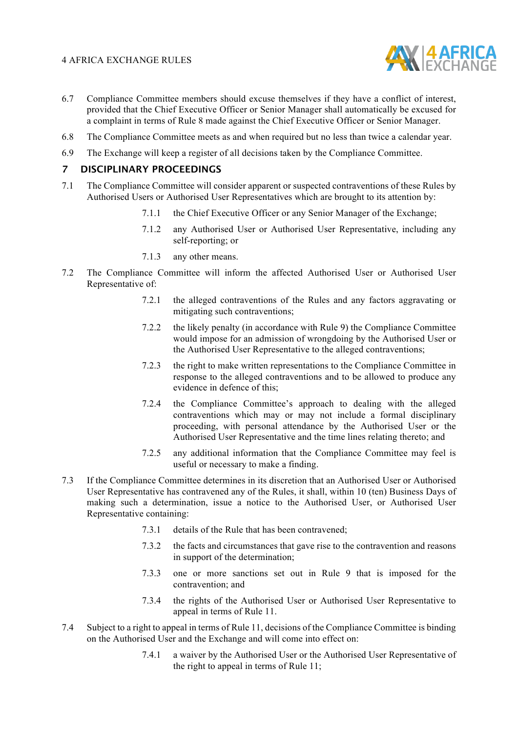

- 6.7 Compliance Committee members should excuse themselves if they have a conflict of interest, provided that the Chief Executive Officer or Senior Manager shall automatically be excused for a complaint in terms of Rule 8 made against the Chief Executive Officer or Senior Manager.
- 6.8 The Compliance Committee meets as and when required but no less than twice a calendar year.
- 6.9 The Exchange will keep a register of all decisions taken by the Compliance Committee.

### **7 DISCIPLINARY PROCEEDINGS**

- 7.1 The Compliance Committee will consider apparent or suspected contraventions of these Rules by Authorised Users or Authorised User Representatives which are brought to its attention by:
	- 7.1.1 the Chief Executive Officer or any Senior Manager of the Exchange;
	- 7.1.2 any Authorised User or Authorised User Representative, including any self-reporting; or
	- 7.1.3 any other means.
- 7.2 The Compliance Committee will inform the affected Authorised User or Authorised User Representative of:
	- 7.2.1 the alleged contraventions of the Rules and any factors aggravating or mitigating such contraventions;
	- 7.2.2 the likely penalty (in accordance with Rule 9) the Compliance Committee would impose for an admission of wrongdoing by the Authorised User or the Authorised User Representative to the alleged contraventions;
	- 7.2.3 the right to make written representations to the Compliance Committee in response to the alleged contraventions and to be allowed to produce any evidence in defence of this;
	- 7.2.4 the Compliance Committee's approach to dealing with the alleged contraventions which may or may not include a formal disciplinary proceeding, with personal attendance by the Authorised User or the Authorised User Representative and the time lines relating thereto; and
	- 7.2.5 any additional information that the Compliance Committee may feel is useful or necessary to make a finding.
- 7.3 If the Compliance Committee determines in its discretion that an Authorised User or Authorised User Representative has contravened any of the Rules, it shall, within 10 (ten) Business Days of making such a determination, issue a notice to the Authorised User, or Authorised User Representative containing:
	- 7.3.1 details of the Rule that has been contravened;
	- 7.3.2 the facts and circumstances that gave rise to the contravention and reasons in support of the determination;
	- 7.3.3 one or more sanctions set out in Rule 9 that is imposed for the contravention; and
	- 7.3.4 the rights of the Authorised User or Authorised User Representative to appeal in terms of Rule 11.
- 7.4 Subject to a right to appeal in terms of Rule 11, decisions of the Compliance Committee is binding on the Authorised User and the Exchange and will come into effect on:
	- 7.4.1 a waiver by the Authorised User or the Authorised User Representative of the right to appeal in terms of Rule 11;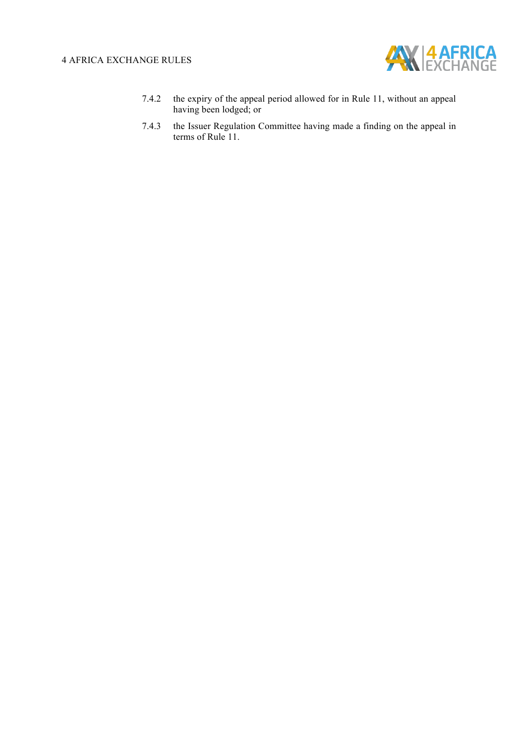

- 7.4.2 the expiry of the appeal period allowed for in Rule 11, without an appeal having been lodged; or
- 7.4.3 the Issuer Regulation Committee having made a finding on the appeal in terms of Rule 11.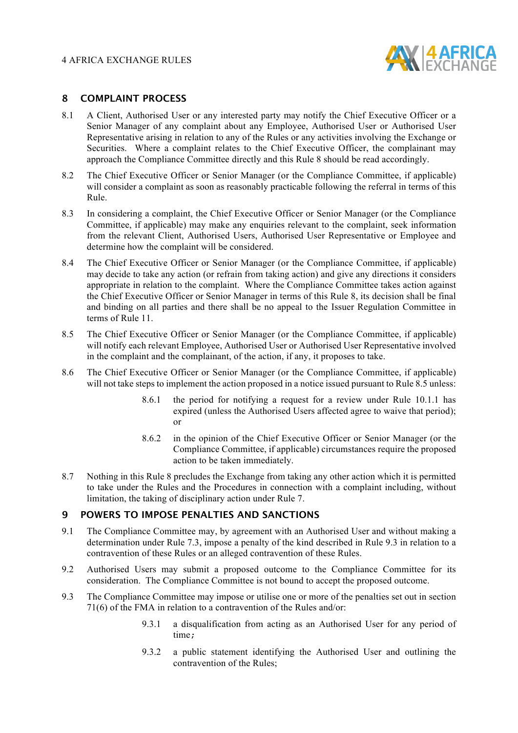

#### **8 COMPLAINT PROCESS**

- 8.1 A Client, Authorised User or any interested party may notify the Chief Executive Officer or a Senior Manager of any complaint about any Employee, Authorised User or Authorised User Representative arising in relation to any of the Rules or any activities involving the Exchange or Securities. Where a complaint relates to the Chief Executive Officer, the complainant may approach the Compliance Committee directly and this Rule 8 should be read accordingly.
- 8.2 The Chief Executive Officer or Senior Manager (or the Compliance Committee, if applicable) will consider a complaint as soon as reasonably practicable following the referral in terms of this Rule.
- 8.3 In considering a complaint, the Chief Executive Officer or Senior Manager (or the Compliance Committee, if applicable) may make any enquiries relevant to the complaint, seek information from the relevant Client, Authorised Users, Authorised User Representative or Employee and determine how the complaint will be considered.
- 8.4 The Chief Executive Officer or Senior Manager (or the Compliance Committee, if applicable) may decide to take any action (or refrain from taking action) and give any directions it considers appropriate in relation to the complaint. Where the Compliance Committee takes action against the Chief Executive Officer or Senior Manager in terms of this Rule 8, its decision shall be final and binding on all parties and there shall be no appeal to the Issuer Regulation Committee in terms of Rule 11.
- 8.5 The Chief Executive Officer or Senior Manager (or the Compliance Committee, if applicable) will notify each relevant Employee, Authorised User or Authorised User Representative involved in the complaint and the complainant, of the action, if any, it proposes to take.
- 8.6 The Chief Executive Officer or Senior Manager (or the Compliance Committee, if applicable) will not take steps to implement the action proposed in a notice issued pursuant to Rule 8.5 unless:
	- 8.6.1 the period for notifying a request for a review under Rule 10.1.1 has expired (unless the Authorised Users affected agree to waive that period); or
	- 8.6.2 in the opinion of the Chief Executive Officer or Senior Manager (or the Compliance Committee, if applicable) circumstances require the proposed action to be taken immediately.
- 8.7 Nothing in this Rule 8 precludes the Exchange from taking any other action which it is permitted to take under the Rules and the Procedures in connection with a complaint including, without limitation, the taking of disciplinary action under Rule 7.

#### **9 POWERS TO IMPOSE PENALTIES AND SANCTIONS**

- 9.1 The Compliance Committee may, by agreement with an Authorised User and without making a determination under Rule 7.3, impose a penalty of the kind described in Rule 9.3 in relation to a contravention of these Rules or an alleged contravention of these Rules.
- 9.2 Authorised Users may submit a proposed outcome to the Compliance Committee for its consideration. The Compliance Committee is not bound to accept the proposed outcome.
- 9.3 The Compliance Committee may impose or utilise one or more of the penalties set out in section 71(6) of the FMA in relation to a contravention of the Rules and/or:
	- 9.3.1 a disqualification from acting as an Authorised User for any period of time;
	- 9.3.2 a public statement identifying the Authorised User and outlining the contravention of the Rules;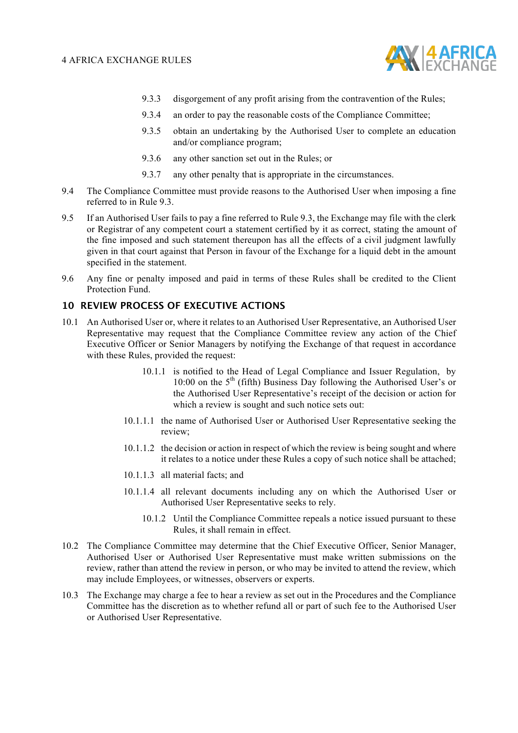

- 9.3.3 disgorgement of any profit arising from the contravention of the Rules;
- 9.3.4 an order to pay the reasonable costs of the Compliance Committee;
- 9.3.5 obtain an undertaking by the Authorised User to complete an education and/or compliance program;
- 9.3.6 any other sanction set out in the Rules; or
- 9.3.7 any other penalty that is appropriate in the circumstances.
- 9.4 The Compliance Committee must provide reasons to the Authorised User when imposing a fine referred to in Rule 9.3.
- 9.5 If an Authorised User fails to pay a fine referred to Rule 9.3, the Exchange may file with the clerk or Registrar of any competent court a statement certified by it as correct, stating the amount of the fine imposed and such statement thereupon has all the effects of a civil judgment lawfully given in that court against that Person in favour of the Exchange for a liquid debt in the amount specified in the statement.
- 9.6 Any fine or penalty imposed and paid in terms of these Rules shall be credited to the Client Protection Fund.

#### **10 REVIEW PROCESS OF EXECUTIVE ACTIONS**

- 10.1 An Authorised User or, where it relates to an Authorised User Representative, an Authorised User Representative may request that the Compliance Committee review any action of the Chief Executive Officer or Senior Managers by notifying the Exchange of that request in accordance with these Rules, provided the request:
	- 10.1.1 is notified to the Head of Legal Compliance and Issuer Regulation, by 10:00 on the  $5<sup>th</sup>$  (fifth) Business Day following the Authorised User's or the Authorised User Representative's receipt of the decision or action for which a review is sought and such notice sets out:
	- 10.1.1.1 the name of Authorised User or Authorised User Representative seeking the review;
	- 10.1.1.2 the decision or action in respect of which the review is being sought and where it relates to a notice under these Rules a copy of such notice shall be attached;
	- 10.1.1.3 all material facts; and
	- 10.1.1.4 all relevant documents including any on which the Authorised User or Authorised User Representative seeks to rely.
		- 10.1.2 Until the Compliance Committee repeals a notice issued pursuant to these Rules, it shall remain in effect.
- 10.2 The Compliance Committee may determine that the Chief Executive Officer, Senior Manager, Authorised User or Authorised User Representative must make written submissions on the review, rather than attend the review in person, or who may be invited to attend the review, which may include Employees, or witnesses, observers or experts.
- 10.3 The Exchange may charge a fee to hear a review as set out in the Procedures and the Compliance Committee has the discretion as to whether refund all or part of such fee to the Authorised User or Authorised User Representative.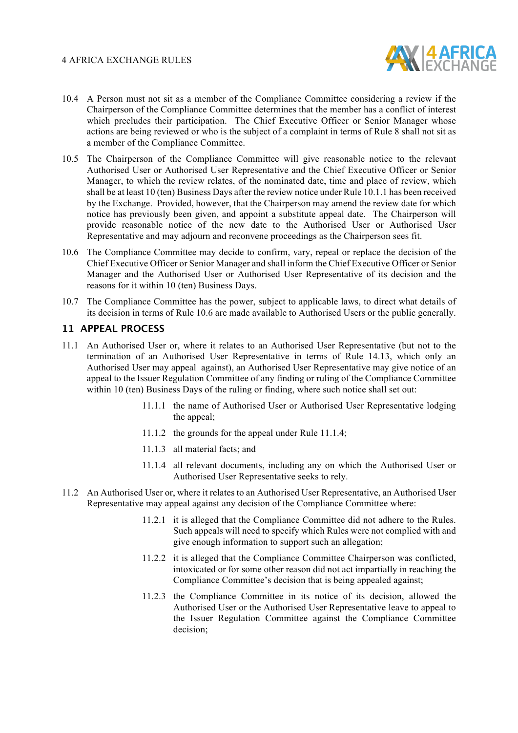

- 10.4 A Person must not sit as a member of the Compliance Committee considering a review if the Chairperson of the Compliance Committee determines that the member has a conflict of interest which precludes their participation. The Chief Executive Officer or Senior Manager whose actions are being reviewed or who is the subject of a complaint in terms of Rule 8 shall not sit as a member of the Compliance Committee.
- 10.5 The Chairperson of the Compliance Committee will give reasonable notice to the relevant Authorised User or Authorised User Representative and the Chief Executive Officer or Senior Manager, to which the review relates, of the nominated date, time and place of review, which shall be at least 10 (ten) Business Days after the review notice under Rule 10.1.1 has been received by the Exchange. Provided, however, that the Chairperson may amend the review date for which notice has previously been given, and appoint a substitute appeal date. The Chairperson will provide reasonable notice of the new date to the Authorised User or Authorised User Representative and may adjourn and reconvene proceedings as the Chairperson sees fit.
- 10.6 The Compliance Committee may decide to confirm, vary, repeal or replace the decision of the Chief Executive Officer or Senior Manager and shall inform the Chief Executive Officer or Senior Manager and the Authorised User or Authorised User Representative of its decision and the reasons for it within 10 (ten) Business Days.
- 10.7 The Compliance Committee has the power, subject to applicable laws, to direct what details of its decision in terms of Rule 10.6 are made available to Authorised Users or the public generally.

#### **11 APPEAL PROCESS**

- 11.1 An Authorised User or, where it relates to an Authorised User Representative (but not to the termination of an Authorised User Representative in terms of Rule 14.13, which only an Authorised User may appeal against), an Authorised User Representative may give notice of an appeal to the Issuer Regulation Committee of any finding or ruling of the Compliance Committee within 10 (ten) Business Days of the ruling or finding, where such notice shall set out:
	- 11.1.1 the name of Authorised User or Authorised User Representative lodging the appeal;
	- 11.1.2 the grounds for the appeal under Rule 11.1.4;
	- 11.1.3 all material facts; and
	- 11.1.4 all relevant documents, including any on which the Authorised User or Authorised User Representative seeks to rely.
- 11.2 An Authorised User or, where it relates to an Authorised User Representative, an Authorised User Representative may appeal against any decision of the Compliance Committee where:
	- 11.2.1 it is alleged that the Compliance Committee did not adhere to the Rules. Such appeals will need to specify which Rules were not complied with and give enough information to support such an allegation;
	- 11.2.2 it is alleged that the Compliance Committee Chairperson was conflicted, intoxicated or for some other reason did not act impartially in reaching the Compliance Committee's decision that is being appealed against;
	- 11.2.3 the Compliance Committee in its notice of its decision, allowed the Authorised User or the Authorised User Representative leave to appeal to the Issuer Regulation Committee against the Compliance Committee decision;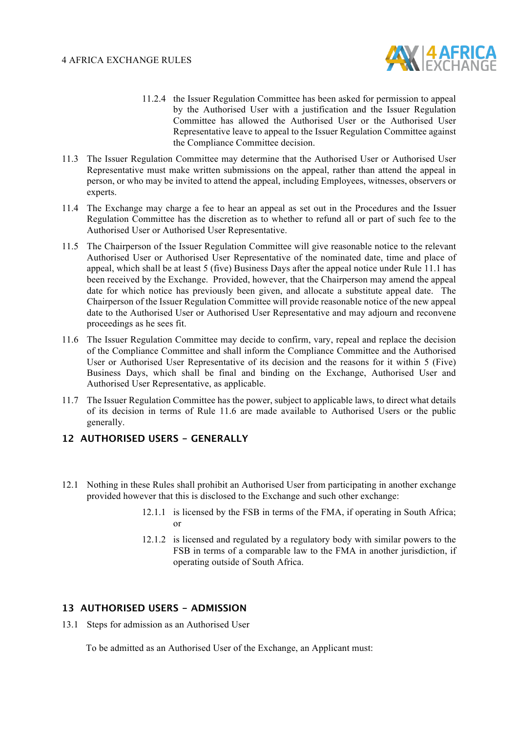

- 11.2.4 the Issuer Regulation Committee has been asked for permission to appeal by the Authorised User with a justification and the Issuer Regulation Committee has allowed the Authorised User or the Authorised User Representative leave to appeal to the Issuer Regulation Committee against the Compliance Committee decision.
- 11.3 The Issuer Regulation Committee may determine that the Authorised User or Authorised User Representative must make written submissions on the appeal, rather than attend the appeal in person, or who may be invited to attend the appeal, including Employees, witnesses, observers or experts.
- 11.4 The Exchange may charge a fee to hear an appeal as set out in the Procedures and the Issuer Regulation Committee has the discretion as to whether to refund all or part of such fee to the Authorised User or Authorised User Representative.
- 11.5 The Chairperson of the Issuer Regulation Committee will give reasonable notice to the relevant Authorised User or Authorised User Representative of the nominated date, time and place of appeal, which shall be at least 5 (five) Business Days after the appeal notice under Rule 11.1 has been received by the Exchange. Provided, however, that the Chairperson may amend the appeal date for which notice has previously been given, and allocate a substitute appeal date. The Chairperson of the Issuer Regulation Committee will provide reasonable notice of the new appeal date to the Authorised User or Authorised User Representative and may adjourn and reconvene proceedings as he sees fit.
- 11.6 The Issuer Regulation Committee may decide to confirm, vary, repeal and replace the decision of the Compliance Committee and shall inform the Compliance Committee and the Authorised User or Authorised User Representative of its decision and the reasons for it within 5 (Five) Business Days, which shall be final and binding on the Exchange, Authorised User and Authorised User Representative, as applicable.
- 11.7 The Issuer Regulation Committee has the power, subject to applicable laws, to direct what details of its decision in terms of Rule 11.6 are made available to Authorised Users or the public generally.

#### **12 AUTHORISED USERS - GENERALLY**

- 12.1 Nothing in these Rules shall prohibit an Authorised User from participating in another exchange provided however that this is disclosed to the Exchange and such other exchange:
	- 12.1.1 is licensed by the FSB in terms of the FMA, if operating in South Africa; or
	- 12.1.2 is licensed and regulated by a regulatory body with similar powers to the FSB in terms of a comparable law to the FMA in another jurisdiction, if operating outside of South Africa.

#### **13 AUTHORISED USERS - ADMISSION**

13.1 Steps for admission as an Authorised User

To be admitted as an Authorised User of the Exchange, an Applicant must: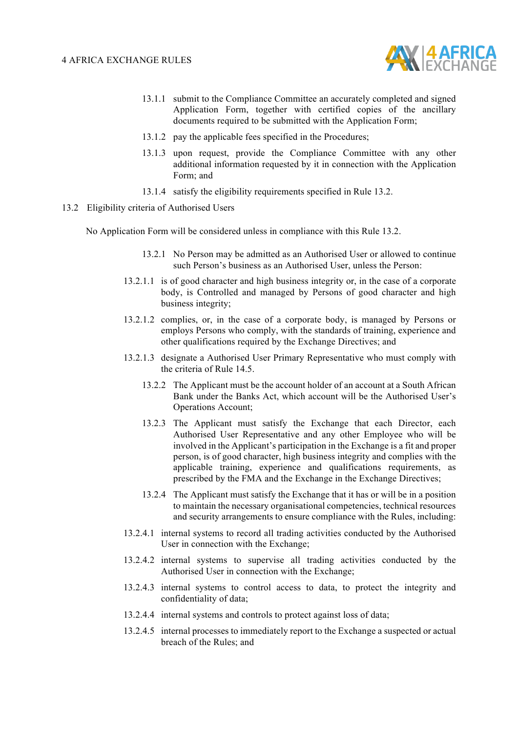

- 13.1.1 submit to the Compliance Committee an accurately completed and signed Application Form, together with certified copies of the ancillary documents required to be submitted with the Application Form;
- 13.1.2 pay the applicable fees specified in the Procedures;
- 13.1.3 upon request, provide the Compliance Committee with any other additional information requested by it in connection with the Application Form; and
- 13.1.4 satisfy the eligibility requirements specified in Rule 13.2.
- 13.2 Eligibility criteria of Authorised Users

No Application Form will be considered unless in compliance with this Rule 13.2.

- 13.2.1 No Person may be admitted as an Authorised User or allowed to continue such Person's business as an Authorised User, unless the Person:
- 13.2.1.1 is of good character and high business integrity or, in the case of a corporate body, is Controlled and managed by Persons of good character and high business integrity;
- 13.2.1.2 complies, or, in the case of a corporate body, is managed by Persons or employs Persons who comply, with the standards of training, experience and other qualifications required by the Exchange Directives; and
- 13.2.1.3 designate a Authorised User Primary Representative who must comply with the criteria of Rule 14.5.
	- 13.2.2 The Applicant must be the account holder of an account at a South African Bank under the Banks Act, which account will be the Authorised User's Operations Account;
	- 13.2.3 The Applicant must satisfy the Exchange that each Director, each Authorised User Representative and any other Employee who will be involved in the Applicant's participation in the Exchange is a fit and proper person, is of good character, high business integrity and complies with the applicable training, experience and qualifications requirements, as prescribed by the FMA and the Exchange in the Exchange Directives;
	- 13.2.4 The Applicant must satisfy the Exchange that it has or will be in a position to maintain the necessary organisational competencies, technical resources and security arrangements to ensure compliance with the Rules, including:
- 13.2.4.1 internal systems to record all trading activities conducted by the Authorised User in connection with the Exchange;
- 13.2.4.2 internal systems to supervise all trading activities conducted by the Authorised User in connection with the Exchange;
- 13.2.4.3 internal systems to control access to data, to protect the integrity and confidentiality of data;
- 13.2.4.4 internal systems and controls to protect against loss of data;
- 13.2.4.5 internal processes to immediately report to the Exchange a suspected or actual breach of the Rules; and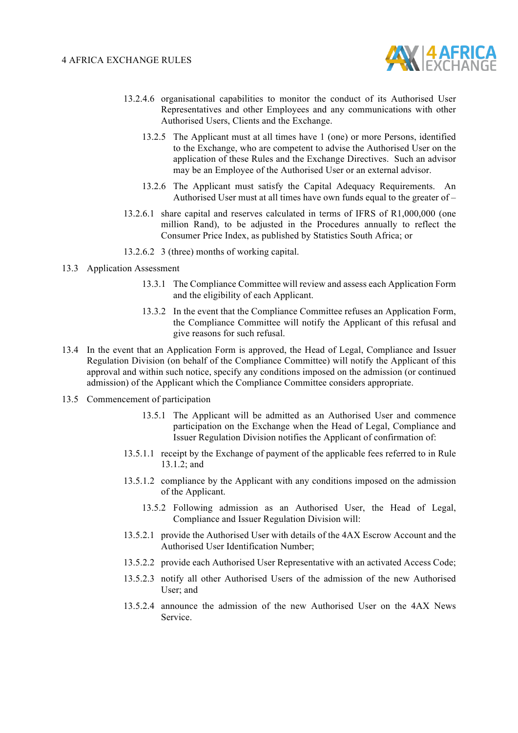

- 13.2.4.6 organisational capabilities to monitor the conduct of its Authorised User Representatives and other Employees and any communications with other Authorised Users, Clients and the Exchange.
	- 13.2.5 The Applicant must at all times have 1 (one) or more Persons, identified to the Exchange, who are competent to advise the Authorised User on the application of these Rules and the Exchange Directives. Such an advisor may be an Employee of the Authorised User or an external advisor.
	- 13.2.6 The Applicant must satisfy the Capital Adequacy Requirements. An Authorised User must at all times have own funds equal to the greater of –
- 13.2.6.1 share capital and reserves calculated in terms of IFRS of R1,000,000 (one million Rand), to be adjusted in the Procedures annually to reflect the Consumer Price Index, as published by Statistics South Africa; or
- 13.2.6.2 3 (three) months of working capital.
- 13.3 Application Assessment
	- 13.3.1 The Compliance Committee will review and assess each Application Form and the eligibility of each Applicant.
	- 13.3.2 In the event that the Compliance Committee refuses an Application Form, the Compliance Committee will notify the Applicant of this refusal and give reasons for such refusal.
- 13.4 In the event that an Application Form is approved, the Head of Legal, Compliance and Issuer Regulation Division (on behalf of the Compliance Committee) will notify the Applicant of this approval and within such notice, specify any conditions imposed on the admission (or continued admission) of the Applicant which the Compliance Committee considers appropriate.
- 13.5 Commencement of participation
	- 13.5.1 The Applicant will be admitted as an Authorised User and commence participation on the Exchange when the Head of Legal, Compliance and Issuer Regulation Division notifies the Applicant of confirmation of:
	- 13.5.1.1 receipt by the Exchange of payment of the applicable fees referred to in Rule 13.1.2; and
	- 13.5.1.2 compliance by the Applicant with any conditions imposed on the admission of the Applicant.
		- 13.5.2 Following admission as an Authorised User, the Head of Legal, Compliance and Issuer Regulation Division will:
	- 13.5.2.1 provide the Authorised User with details of the 4AX Escrow Account and the Authorised User Identification Number;
	- 13.5.2.2 provide each Authorised User Representative with an activated Access Code;
	- 13.5.2.3 notify all other Authorised Users of the admission of the new Authorised User; and
	- 13.5.2.4 announce the admission of the new Authorised User on the 4AX News Service.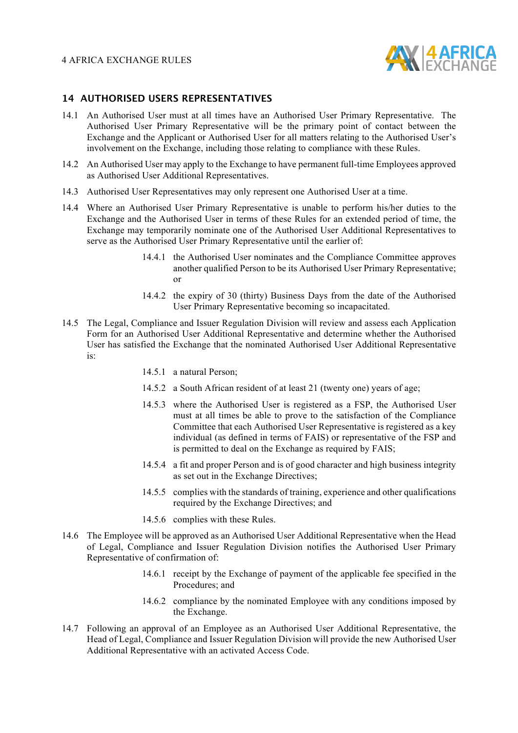

#### **14 AUTHORISED USERS REPRESENTATIVES**

- 14.1 An Authorised User must at all times have an Authorised User Primary Representative. The Authorised User Primary Representative will be the primary point of contact between the Exchange and the Applicant or Authorised User for all matters relating to the Authorised User's involvement on the Exchange, including those relating to compliance with these Rules.
- 14.2 An Authorised User may apply to the Exchange to have permanent full-time Employees approved as Authorised User Additional Representatives.
- 14.3 Authorised User Representatives may only represent one Authorised User at a time.
- 14.4 Where an Authorised User Primary Representative is unable to perform his/her duties to the Exchange and the Authorised User in terms of these Rules for an extended period of time, the Exchange may temporarily nominate one of the Authorised User Additional Representatives to serve as the Authorised User Primary Representative until the earlier of:
	- 14.4.1 the Authorised User nominates and the Compliance Committee approves another qualified Person to be its Authorised User Primary Representative; or
	- 14.4.2 the expiry of 30 (thirty) Business Days from the date of the Authorised User Primary Representative becoming so incapacitated.
- 14.5 The Legal, Compliance and Issuer Regulation Division will review and assess each Application Form for an Authorised User Additional Representative and determine whether the Authorised User has satisfied the Exchange that the nominated Authorised User Additional Representative is:
	- 14.5.1 a natural Person;
	- 14.5.2 a South African resident of at least 21 (twenty one) years of age;
	- 14.5.3 where the Authorised User is registered as a FSP, the Authorised User must at all times be able to prove to the satisfaction of the Compliance Committee that each Authorised User Representative is registered as a key individual (as defined in terms of FAIS) or representative of the FSP and is permitted to deal on the Exchange as required by FAIS;
	- 14.5.4 a fit and proper Person and is of good character and high business integrity as set out in the Exchange Directives;
	- 14.5.5 complies with the standards of training, experience and other qualifications required by the Exchange Directives; and
	- 14.5.6 complies with these Rules.
- 14.6 The Employee will be approved as an Authorised User Additional Representative when the Head of Legal, Compliance and Issuer Regulation Division notifies the Authorised User Primary Representative of confirmation of:
	- 14.6.1 receipt by the Exchange of payment of the applicable fee specified in the Procedures; and
	- 14.6.2 compliance by the nominated Employee with any conditions imposed by the Exchange.
- 14.7 Following an approval of an Employee as an Authorised User Additional Representative, the Head of Legal, Compliance and Issuer Regulation Division will provide the new Authorised User Additional Representative with an activated Access Code.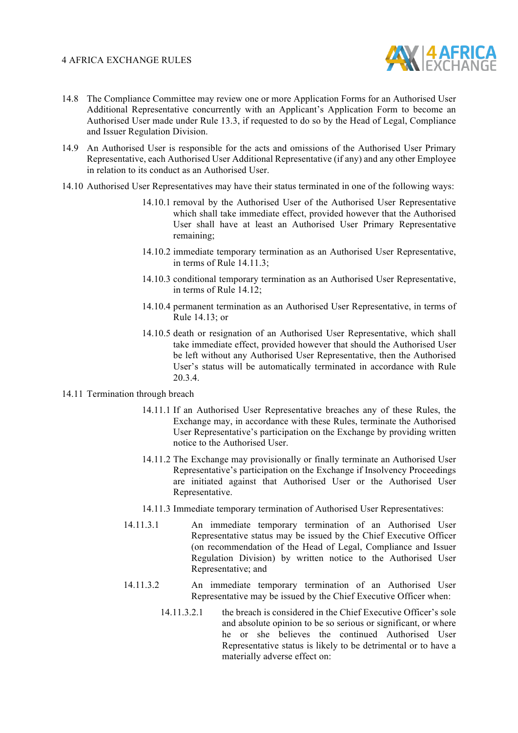

- 14.8 The Compliance Committee may review one or more Application Forms for an Authorised User Additional Representative concurrently with an Applicant's Application Form to become an Authorised User made under Rule 13.3, if requested to do so by the Head of Legal, Compliance and Issuer Regulation Division.
- 14.9 An Authorised User is responsible for the acts and omissions of the Authorised User Primary Representative, each Authorised User Additional Representative (if any) and any other Employee in relation to its conduct as an Authorised User.
- 14.10 Authorised User Representatives may have their status terminated in one of the following ways:
	- 14.10.1 removal by the Authorised User of the Authorised User Representative which shall take immediate effect, provided however that the Authorised User shall have at least an Authorised User Primary Representative remaining;
	- 14.10.2 immediate temporary termination as an Authorised User Representative, in terms of Rule 14.11.3;
	- 14.10.3 conditional temporary termination as an Authorised User Representative, in terms of Rule 14.12;
	- 14.10.4 permanent termination as an Authorised User Representative, in terms of Rule 14.13; or
	- 14.10.5 death or resignation of an Authorised User Representative, which shall take immediate effect, provided however that should the Authorised User be left without any Authorised User Representative, then the Authorised User's status will be automatically terminated in accordance with Rule 20.3.4.

#### 14.11 Termination through breach

- 14.11.1 If an Authorised User Representative breaches any of these Rules, the Exchange may, in accordance with these Rules, terminate the Authorised User Representative's participation on the Exchange by providing written notice to the Authorised User.
- 14.11.2 The Exchange may provisionally or finally terminate an Authorised User Representative's participation on the Exchange if Insolvency Proceedings are initiated against that Authorised User or the Authorised User Representative.
- 14.11.3 Immediate temporary termination of Authorised User Representatives:
- 14.11.3.1 An immediate temporary termination of an Authorised User Representative status may be issued by the Chief Executive Officer (on recommendation of the Head of Legal, Compliance and Issuer Regulation Division) by written notice to the Authorised User Representative; and
- 14.11.3.2 An immediate temporary termination of an Authorised User Representative may be issued by the Chief Executive Officer when:
	- 14.11.3.2.1 the breach is considered in the Chief Executive Officer's sole and absolute opinion to be so serious or significant, or where he or she believes the continued Authorised User Representative status is likely to be detrimental or to have a materially adverse effect on: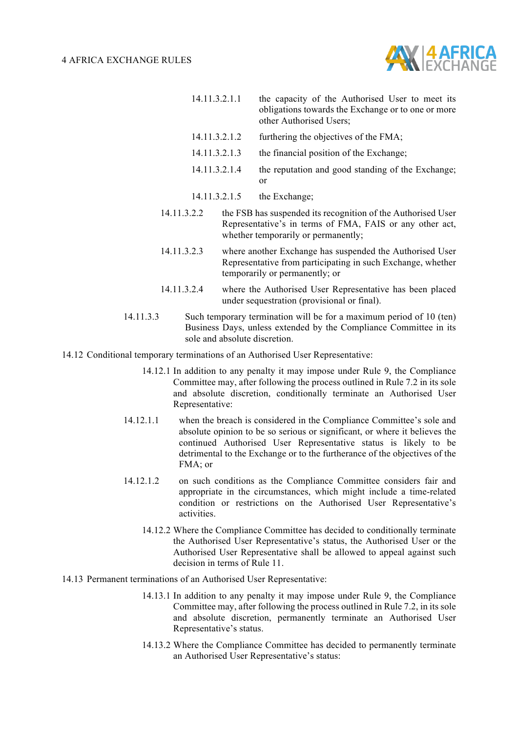

| 14.11.3.2.1.1 | the capacity of the Authorised User to meet its<br>obligations towards the Exchange or to one or more<br>other Authorised Users;                                |
|---------------|-----------------------------------------------------------------------------------------------------------------------------------------------------------------|
| 14.11.3.2.1.2 | furthering the objectives of the FMA;                                                                                                                           |
| 14.11.3.2.1.3 | the financial position of the Exchange;                                                                                                                         |
| 14.11.3.2.1.4 | the reputation and good standing of the Exchange;<br><sub>or</sub>                                                                                              |
| 14.11.3.2.1.5 | the Exchange;                                                                                                                                                   |
| 14.11.3.2.2   | the FSB has suspended its recognition of the Authorised User<br>Representative's in terms of FMA, FAIS or any other act,<br>whether temporarily or permanently; |

- 14.11.3.2.3 where another Exchange has suspended the Authorised User Representative from participating in such Exchange, whether temporarily or permanently; or
- 14.11.3.2.4 where the Authorised User Representative has been placed under sequestration (provisional or final).
- 14.11.3.3 Such temporary termination will be for a maximum period of 10 (ten) Business Days, unless extended by the Compliance Committee in its sole and absolute discretion.
- 14.12 Conditional temporary terminations of an Authorised User Representative:
	- 14.12.1 In addition to any penalty it may impose under Rule 9, the Compliance Committee may, after following the process outlined in Rule 7.2 in its sole and absolute discretion, conditionally terminate an Authorised User Representative:
	- 14.12.1.1 when the breach is considered in the Compliance Committee's sole and absolute opinion to be so serious or significant, or where it believes the continued Authorised User Representative status is likely to be detrimental to the Exchange or to the furtherance of the objectives of the  $FMA$ ; or
	- 14.12.1.2 on such conditions as the Compliance Committee considers fair and appropriate in the circumstances, which might include a time-related condition or restrictions on the Authorised User Representative's activities.
		- 14.12.2 Where the Compliance Committee has decided to conditionally terminate the Authorised User Representative's status, the Authorised User or the Authorised User Representative shall be allowed to appeal against such decision in terms of Rule 11.
- 14.13 Permanent terminations of an Authorised User Representative:
	- 14.13.1 In addition to any penalty it may impose under Rule 9, the Compliance Committee may, after following the process outlined in Rule 7.2, in its sole and absolute discretion, permanently terminate an Authorised User Representative's status.
	- 14.13.2 Where the Compliance Committee has decided to permanently terminate an Authorised User Representative's status: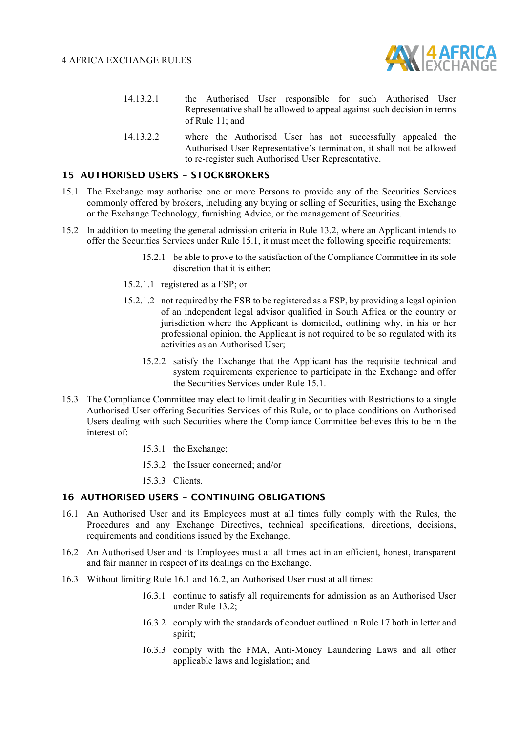

- 14.13.2.1 the Authorised User responsible for such Authorised User Representative shall be allowed to appeal against such decision in terms of Rule 11; and
- 14.13.2.2 where the Authorised User has not successfully appealed the Authorised User Representative's termination, it shall not be allowed to re-register such Authorised User Representative.

#### **15 AUTHORISED USERS - STOCKBROKERS**

- 15.1 The Exchange may authorise one or more Persons to provide any of the Securities Services commonly offered by brokers, including any buying or selling of Securities, using the Exchange or the Exchange Technology, furnishing Advice, or the management of Securities.
- 15.2 In addition to meeting the general admission criteria in Rule 13.2, where an Applicant intends to offer the Securities Services under Rule 15.1, it must meet the following specific requirements:
	- 15.2.1 be able to prove to the satisfaction of the Compliance Committee in its sole discretion that it is either:
	- 15.2.1.1 registered as a FSP; or
	- 15.2.1.2 not required by the FSB to be registered as a FSP, by providing a legal opinion of an independent legal advisor qualified in South Africa or the country or jurisdiction where the Applicant is domiciled, outlining why, in his or her professional opinion, the Applicant is not required to be so regulated with its activities as an Authorised User;
		- 15.2.2 satisfy the Exchange that the Applicant has the requisite technical and system requirements experience to participate in the Exchange and offer the Securities Services under Rule 15.1.
- 15.3 The Compliance Committee may elect to limit dealing in Securities with Restrictions to a single Authorised User offering Securities Services of this Rule, or to place conditions on Authorised Users dealing with such Securities where the Compliance Committee believes this to be in the interest of:
	- 15.3.1 the Exchange;
	- 15.3.2 the Issuer concerned; and/or
	- 15.3.3 Clients.

#### **16 AUTHORISED USERS - CONTINUING OBLIGATIONS**

- 16.1 An Authorised User and its Employees must at all times fully comply with the Rules, the Procedures and any Exchange Directives, technical specifications, directions, decisions, requirements and conditions issued by the Exchange.
- 16.2 An Authorised User and its Employees must at all times act in an efficient, honest, transparent and fair manner in respect of its dealings on the Exchange.
- 16.3 Without limiting Rule 16.1 and 16.2, an Authorised User must at all times:
	- 16.3.1 continue to satisfy all requirements for admission as an Authorised User under Rule 13.2;
	- 16.3.2 comply with the standards of conduct outlined in Rule 17 both in letter and spirit;
	- 16.3.3 comply with the FMA, Anti-Money Laundering Laws and all other applicable laws and legislation; and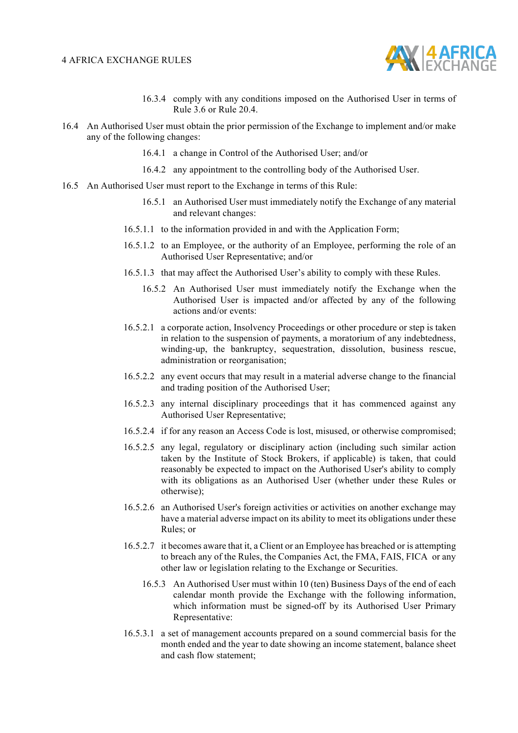

- 16.3.4 comply with any conditions imposed on the Authorised User in terms of Rule 3.6 or Rule 20.4.
- 16.4 An Authorised User must obtain the prior permission of the Exchange to implement and/or make any of the following changes:
	- 16.4.1 a change in Control of the Authorised User; and/or
	- 16.4.2 any appointment to the controlling body of the Authorised User.
- 16.5 An Authorised User must report to the Exchange in terms of this Rule:
	- 16.5.1 an Authorised User must immediately notify the Exchange of any material and relevant changes:
	- 16.5.1.1 to the information provided in and with the Application Form;
	- 16.5.1.2 to an Employee, or the authority of an Employee, performing the role of an Authorised User Representative; and/or
	- 16.5.1.3 that may affect the Authorised User's ability to comply with these Rules.
		- 16.5.2 An Authorised User must immediately notify the Exchange when the Authorised User is impacted and/or affected by any of the following actions and/or events:
	- 16.5.2.1 a corporate action, Insolvency Proceedings or other procedure or step is taken in relation to the suspension of payments, a moratorium of any indebtedness, winding-up, the bankruptcy, sequestration, dissolution, business rescue, administration or reorganisation;
	- 16.5.2.2 any event occurs that may result in a material adverse change to the financial and trading position of the Authorised User;
	- 16.5.2.3 any internal disciplinary proceedings that it has commenced against any Authorised User Representative;
	- 16.5.2.4 if for any reason an Access Code is lost, misused, or otherwise compromised;
	- 16.5.2.5 any legal, regulatory or disciplinary action (including such similar action taken by the Institute of Stock Brokers, if applicable) is taken, that could reasonably be expected to impact on the Authorised User's ability to comply with its obligations as an Authorised User (whether under these Rules or otherwise);
	- 16.5.2.6 an Authorised User's foreign activities or activities on another exchange may have a material adverse impact on its ability to meet its obligations under these Rules; or
	- 16.5.2.7 it becomes aware that it, a Client or an Employee has breached or is attempting to breach any of the Rules, the Companies Act, the FMA, FAIS, FICA or any other law or legislation relating to the Exchange or Securities.
		- 16.5.3 An Authorised User must within 10 (ten) Business Days of the end of each calendar month provide the Exchange with the following information, which information must be signed-off by its Authorised User Primary Representative:
	- 16.5.3.1 a set of management accounts prepared on a sound commercial basis for the month ended and the year to date showing an income statement, balance sheet and cash flow statement;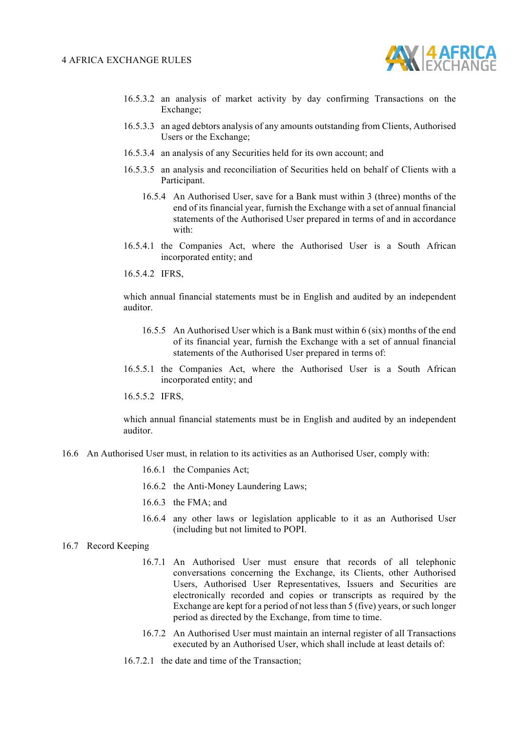

- 16.5.3.2 an analysis of market activity by day confirming Transactions on the Exchange;
- 16.5.3.3 an aged debtors analysis of any amounts outstanding from Clients, Authorised Users or the Exchange;
- 16.5.3.4 an analysis of any Securities held for its own account; and
- 16.5.3.5 an analysis and reconciliation of Securities held on behalf of Clients with a Participant.
	- 16.5.4 An Authorised User, save for a Bank must within 3 (three) months of the end of its financial year, furnish the Exchange with a set of annual financial statements of the Authorised User prepared in terms of and in accordance with:
- 16.5.4.1 the Companies Act, where the Authorised User is a South African incorporated entity; and
- 16.5.4.2 IFRS,

which annual financial statements must be in English and audited by an independent auditor.

- 16.5.5 An Authorised User which is a Bank must within 6 (six) months of the end of its financial year, furnish the Exchange with a set of annual financial statements of the Authorised User prepared in terms of:
- 16.5.5.1 the Companies Act, where the Authorised User is a South African incorporated entity; and
- 16.5.5.2 IFRS,

which annual financial statements must be in English and audited by an independent auditor.

- 16.6 An Authorised User must, in relation to its activities as an Authorised User, comply with:
	- 16.6.1 the Companies Act;
	- 16.6.2 the Anti-Money Laundering Laws;
	- 16.6.3 the FMA; and
	- 16.6.4 any other laws or legislation applicable to it as an Authorised User (including but not limited to POPI.
- 16.7 Record Keeping
	- 16.7.1 An Authorised User must ensure that records of all telephonic conversations concerning the Exchange, its Clients, other Authorised Users, Authorised User Representatives, Issuers and Securities are electronically recorded and copies or transcripts as required by the Exchange are kept for a period of not less than 5 (five) years, or such longer period as directed by the Exchange, from time to time.
	- 16.7.2 An Authorised User must maintain an internal register of all Transactions executed by an Authorised User, which shall include at least details of:
	- 16.7.2.1 the date and time of the Transaction;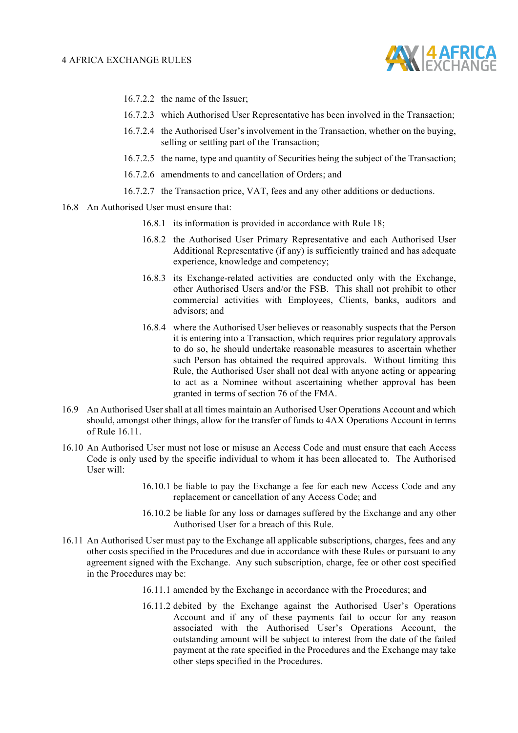

- 16.7.2.2 the name of the Issuer;
- 16.7.2.3 which Authorised User Representative has been involved in the Transaction;
- 16.7.2.4 the Authorised User's involvement in the Transaction, whether on the buying, selling or settling part of the Transaction;
- 16.7.2.5 the name, type and quantity of Securities being the subject of the Transaction;
- 16.7.2.6 amendments to and cancellation of Orders; and
- 16.7.2.7 the Transaction price, VAT, fees and any other additions or deductions.
- 16.8 An Authorised User must ensure that:
	- 16.8.1 its information is provided in accordance with Rule 18;
	- 16.8.2 the Authorised User Primary Representative and each Authorised User Additional Representative (if any) is sufficiently trained and has adequate experience, knowledge and competency;
	- 16.8.3 its Exchange-related activities are conducted only with the Exchange, other Authorised Users and/or the FSB. This shall not prohibit to other commercial activities with Employees, Clients, banks, auditors and advisors; and
	- 16.8.4 where the Authorised User believes or reasonably suspects that the Person it is entering into a Transaction, which requires prior regulatory approvals to do so, he should undertake reasonable measures to ascertain whether such Person has obtained the required approvals. Without limiting this Rule, the Authorised User shall not deal with anyone acting or appearing to act as a Nominee without ascertaining whether approval has been granted in terms of section 76 of the FMA.
- 16.9 An Authorised User shall at all times maintain an Authorised User Operations Account and which should, amongst other things, allow for the transfer of funds to 4AX Operations Account in terms of Rule 16.11.
- 16.10 An Authorised User must not lose or misuse an Access Code and must ensure that each Access Code is only used by the specific individual to whom it has been allocated to. The Authorised User will:
	- 16.10.1 be liable to pay the Exchange a fee for each new Access Code and any replacement or cancellation of any Access Code; and
	- 16.10.2 be liable for any loss or damages suffered by the Exchange and any other Authorised User for a breach of this Rule.
- 16.11 An Authorised User must pay to the Exchange all applicable subscriptions, charges, fees and any other costs specified in the Procedures and due in accordance with these Rules or pursuant to any agreement signed with the Exchange. Any such subscription, charge, fee or other cost specified in the Procedures may be:
	- 16.11.1 amended by the Exchange in accordance with the Procedures; and
	- 16.11.2 debited by the Exchange against the Authorised User's Operations Account and if any of these payments fail to occur for any reason associated with the Authorised User's Operations Account, the outstanding amount will be subject to interest from the date of the failed payment at the rate specified in the Procedures and the Exchange may take other steps specified in the Procedures.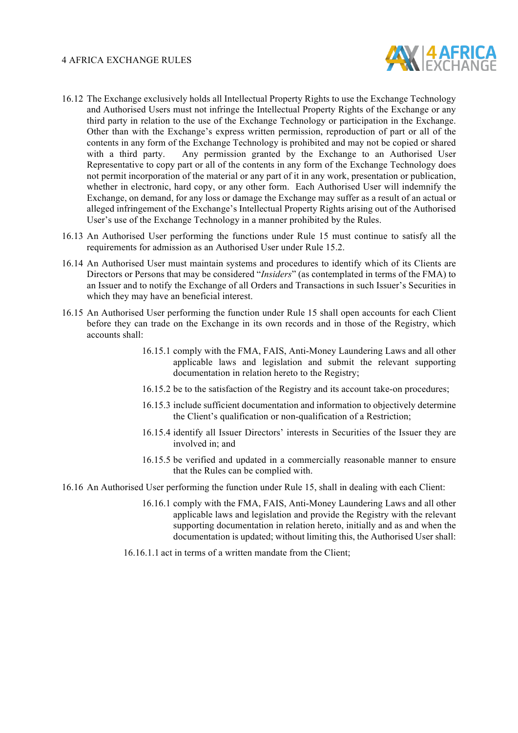

- 16.12 The Exchange exclusively holds all Intellectual Property Rights to use the Exchange Technology and Authorised Users must not infringe the Intellectual Property Rights of the Exchange or any third party in relation to the use of the Exchange Technology or participation in the Exchange. Other than with the Exchange's express written permission, reproduction of part or all of the contents in any form of the Exchange Technology is prohibited and may not be copied or shared with a third party. Any permission granted by the Exchange to an Authorised User Representative to copy part or all of the contents in any form of the Exchange Technology does not permit incorporation of the material or any part of it in any work, presentation or publication, whether in electronic, hard copy, or any other form. Each Authorised User will indemnify the Exchange, on demand, for any loss or damage the Exchange may suffer as a result of an actual or alleged infringement of the Exchange's Intellectual Property Rights arising out of the Authorised User's use of the Exchange Technology in a manner prohibited by the Rules.
- 16.13 An Authorised User performing the functions under Rule 15 must continue to satisfy all the requirements for admission as an Authorised User under Rule 15.2.
- 16.14 An Authorised User must maintain systems and procedures to identify which of its Clients are Directors or Persons that may be considered "*Insiders*" (as contemplated in terms of the FMA) to an Issuer and to notify the Exchange of all Orders and Transactions in such Issuer's Securities in which they may have an beneficial interest.
- 16.15 An Authorised User performing the function under Rule 15 shall open accounts for each Client before they can trade on the Exchange in its own records and in those of the Registry, which accounts shall:
	- 16.15.1 comply with the FMA, FAIS, Anti-Money Laundering Laws and all other applicable laws and legislation and submit the relevant supporting documentation in relation hereto to the Registry;
	- 16.15.2 be to the satisfaction of the Registry and its account take-on procedures;
	- 16.15.3 include sufficient documentation and information to objectively determine the Client's qualification or non-qualification of a Restriction;
	- 16.15.4 identify all Issuer Directors' interests in Securities of the Issuer they are involved in; and
	- 16.15.5 be verified and updated in a commercially reasonable manner to ensure that the Rules can be complied with.
- 16.16 An Authorised User performing the function under Rule 15, shall in dealing with each Client:
	- 16.16.1 comply with the FMA, FAIS, Anti-Money Laundering Laws and all other applicable laws and legislation and provide the Registry with the relevant supporting documentation in relation hereto, initially and as and when the documentation is updated; without limiting this, the Authorised User shall:
	- 16.16.1.1 act in terms of a written mandate from the Client;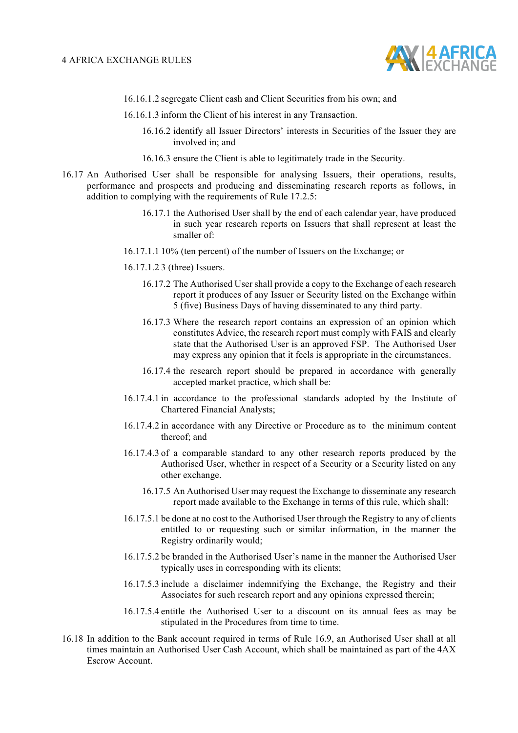

- 16.16.1.2 segregate Client cash and Client Securities from his own; and
- 16.16.1.3 inform the Client of his interest in any Transaction.
	- 16.16.2 identify all Issuer Directors' interests in Securities of the Issuer they are involved in; and
	- 16.16.3 ensure the Client is able to legitimately trade in the Security.
- 16.17 An Authorised User shall be responsible for analysing Issuers, their operations, results, performance and prospects and producing and disseminating research reports as follows, in addition to complying with the requirements of Rule 17.2.5:
	- 16.17.1 the Authorised User shall by the end of each calendar year, have produced in such year research reports on Issuers that shall represent at least the smaller of:
	- 16.17.1.1 10% (ten percent) of the number of Issuers on the Exchange; or
	- 16.17.1.2 3 (three) Issuers.
		- 16.17.2 The Authorised User shall provide a copy to the Exchange of each research report it produces of any Issuer or Security listed on the Exchange within 5 (five) Business Days of having disseminated to any third party.
		- 16.17.3 Where the research report contains an expression of an opinion which constitutes Advice, the research report must comply with FAIS and clearly state that the Authorised User is an approved FSP. The Authorised User may express any opinion that it feels is appropriate in the circumstances.
		- 16.17.4 the research report should be prepared in accordance with generally accepted market practice, which shall be:
	- 16.17.4.1 in accordance to the professional standards adopted by the Institute of Chartered Financial Analysts;
	- 16.17.4.2 in accordance with any Directive or Procedure as to the minimum content thereof; and
	- 16.17.4.3 of a comparable standard to any other research reports produced by the Authorised User, whether in respect of a Security or a Security listed on any other exchange.
		- 16.17.5 An Authorised User may request the Exchange to disseminate any research report made available to the Exchange in terms of this rule, which shall:
	- 16.17.5.1 be done at no cost to the Authorised User through the Registry to any of clients entitled to or requesting such or similar information, in the manner the Registry ordinarily would;
	- 16.17.5.2 be branded in the Authorised User's name in the manner the Authorised User typically uses in corresponding with its clients;
	- 16.17.5.3 include a disclaimer indemnifying the Exchange, the Registry and their Associates for such research report and any opinions expressed therein;
	- 16.17.5.4 entitle the Authorised User to a discount on its annual fees as may be stipulated in the Procedures from time to time.
- 16.18 In addition to the Bank account required in terms of Rule 16.9, an Authorised User shall at all times maintain an Authorised User Cash Account, which shall be maintained as part of the 4AX Escrow Account.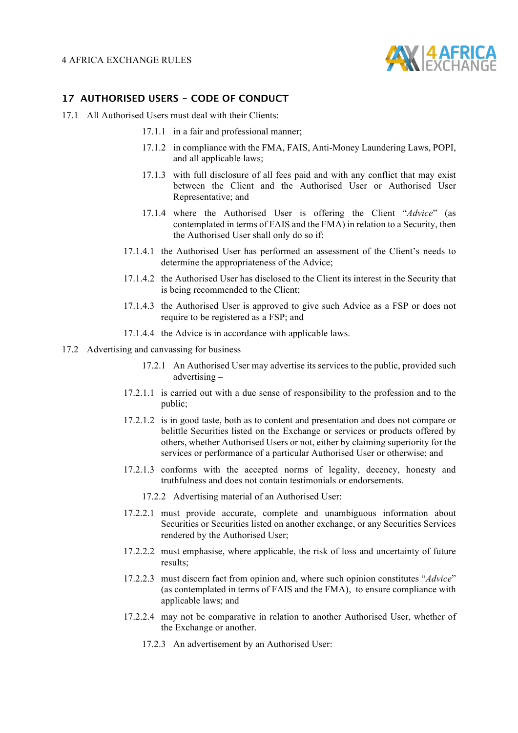

#### **17 AUTHORISED USERS - CODE OF CONDUCT**

- 17.1 All Authorised Users must deal with their Clients:
	- 17.1.1 in a fair and professional manner;
	- 17.1.2 in compliance with the FMA, FAIS, Anti-Money Laundering Laws, POPI, and all applicable laws;
	- 17.1.3 with full disclosure of all fees paid and with any conflict that may exist between the Client and the Authorised User or Authorised User Representative; and
	- 17.1.4 where the Authorised User is offering the Client "*Advice*" (as contemplated in terms of FAIS and the FMA) in relation to a Security, then the Authorised User shall only do so if:
	- 17.1.4.1 the Authorised User has performed an assessment of the Client's needs to determine the appropriateness of the Advice;
	- 17.1.4.2 the Authorised User has disclosed to the Client its interest in the Security that is being recommended to the Client;
	- 17.1.4.3 the Authorised User is approved to give such Advice as a FSP or does not require to be registered as a FSP; and
	- 17.1.4.4 the Advice is in accordance with applicable laws.
- 17.2 Advertising and canvassing for business
	- 17.2.1 An Authorised User may advertise its services to the public, provided such advertising –
	- 17.2.1.1 is carried out with a due sense of responsibility to the profession and to the public;
	- 17.2.1.2 is in good taste, both as to content and presentation and does not compare or belittle Securities listed on the Exchange or services or products offered by others, whether Authorised Users or not, either by claiming superiority for the services or performance of a particular Authorised User or otherwise; and
	- 17.2.1.3 conforms with the accepted norms of legality, decency, honesty and truthfulness and does not contain testimonials or endorsements.
		- 17.2.2 Advertising material of an Authorised User:
	- 17.2.2.1 must provide accurate, complete and unambiguous information about Securities or Securities listed on another exchange, or any Securities Services rendered by the Authorised User;
	- 17.2.2.2 must emphasise, where applicable, the risk of loss and uncertainty of future results;
	- 17.2.2.3 must discern fact from opinion and, where such opinion constitutes "*Advice*" (as contemplated in terms of FAIS and the FMA), to ensure compliance with applicable laws; and
	- 17.2.2.4 may not be comparative in relation to another Authorised User, whether of the Exchange or another.
		- 17.2.3 An advertisement by an Authorised User: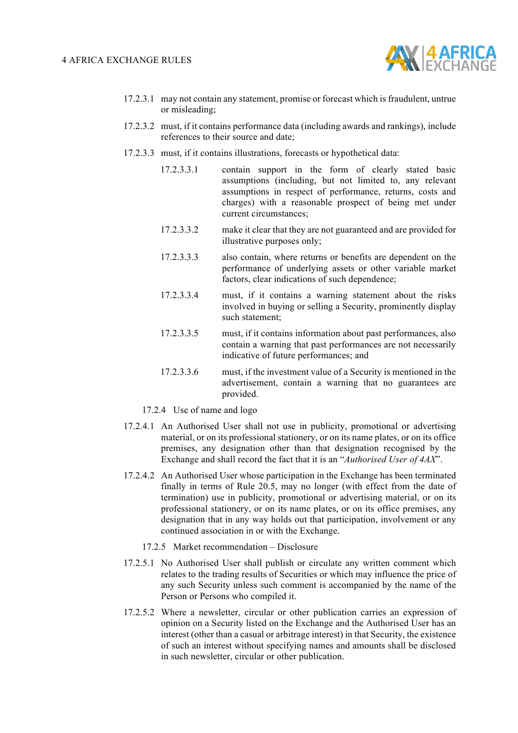

- 17.2.3.1 may not contain any statement, promise or forecast which is fraudulent, untrue or misleading;
- 17.2.3.2 must, if it contains performance data (including awards and rankings), include references to their source and date;
- 17.2.3.3 must, if it contains illustrations, forecasts or hypothetical data:
	- 17.2.3.3.1 contain support in the form of clearly stated basic assumptions (including, but not limited to, any relevant assumptions in respect of performance, returns, costs and charges) with a reasonable prospect of being met under current circumstances;
	- 17.2.3.3.2 make it clear that they are not guaranteed and are provided for illustrative purposes only;
	- 17.2.3.3.3 also contain, where returns or benefits are dependent on the performance of underlying assets or other variable market factors, clear indications of such dependence;
	- 17.2.3.3.4 must, if it contains a warning statement about the risks involved in buying or selling a Security, prominently display such statement;
	- 17.2.3.3.5 must, if it contains information about past performances, also contain a warning that past performances are not necessarily indicative of future performances; and
	- 17.2.3.3.6 must, if the investment value of a Security is mentioned in the advertisement, contain a warning that no guarantees are provided.
	- 17.2.4 Use of name and logo
- 17.2.4.1 An Authorised User shall not use in publicity, promotional or advertising material, or on its professional stationery, or on its name plates, or on its office premises, any designation other than that designation recognised by the Exchange and shall record the fact that it is an "*Authorised User of 4AX*".
- 17.2.4.2 An Authorised User whose participation in the Exchange has been terminated finally in terms of Rule 20.5, may no longer (with effect from the date of termination) use in publicity, promotional or advertising material, or on its professional stationery, or on its name plates, or on its office premises, any designation that in any way holds out that participation, involvement or any continued association in or with the Exchange.
	- 17.2.5 Market recommendation Disclosure
- 17.2.5.1 No Authorised User shall publish or circulate any written comment which relates to the trading results of Securities or which may influence the price of any such Security unless such comment is accompanied by the name of the Person or Persons who compiled it.
- 17.2.5.2 Where a newsletter, circular or other publication carries an expression of opinion on a Security listed on the Exchange and the Authorised User has an interest (other than a casual or arbitrage interest) in that Security, the existence of such an interest without specifying names and amounts shall be disclosed in such newsletter, circular or other publication.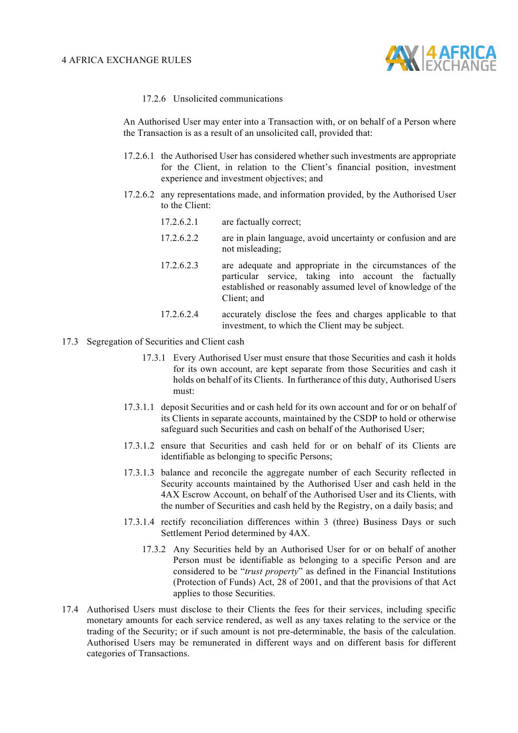

17.2.6 Unsolicited communications

An Authorised User may enter into a Transaction with, or on behalf of a Person where the Transaction is as a result of an unsolicited call, provided that:

- 17.2.6.1 the Authorised User has considered whether such investments are appropriate for the Client, in relation to the Client's financial position, investment experience and investment objectives; and
- 17.2.6.2 any representations made, and information provided, by the Authorised User to the Client:
	- 17.2.6.2.1 are factually correct;
	- 17.2.6.2.2 are in plain language, avoid uncertainty or confusion and are not misleading;
	- 17.2.6.2.3 are adequate and appropriate in the circumstances of the particular service, taking into account the factually established or reasonably assumed level of knowledge of the Client; and
	- 17.2.6.2.4 accurately disclose the fees and charges applicable to that investment, to which the Client may be subject.
- 17.3 Segregation of Securities and Client cash
	- 17.3.1 Every Authorised User must ensure that those Securities and cash it holds for its own account, are kept separate from those Securities and cash it holds on behalf of its Clients. In furtherance of this duty, Authorised Users must:
	- 17.3.1.1 deposit Securities and or cash held for its own account and for or on behalf of its Clients in separate accounts, maintained by the CSDP to hold or otherwise safeguard such Securities and cash on behalf of the Authorised User;
	- 17.3.1.2 ensure that Securities and cash held for or on behalf of its Clients are identifiable as belonging to specific Persons;
	- 17.3.1.3 balance and reconcile the aggregate number of each Security reflected in Security accounts maintained by the Authorised User and cash held in the 4AX Escrow Account, on behalf of the Authorised User and its Clients, with the number of Securities and cash held by the Registry, on a daily basis; and
	- 17.3.1.4 rectify reconciliation differences within 3 (three) Business Days or such Settlement Period determined by 4AX.
		- 17.3.2 Any Securities held by an Authorised User for or on behalf of another Person must be identifiable as belonging to a specific Person and are considered to be "*trust property*" as defined in the Financial Institutions (Protection of Funds) Act, 28 of 2001, and that the provisions of that Act applies to those Securities.
- 17.4 Authorised Users must disclose to their Clients the fees for their services, including specific monetary amounts for each service rendered, as well as any taxes relating to the service or the trading of the Security; or if such amount is not pre-determinable, the basis of the calculation. Authorised Users may be remunerated in different ways and on different basis for different categories of Transactions.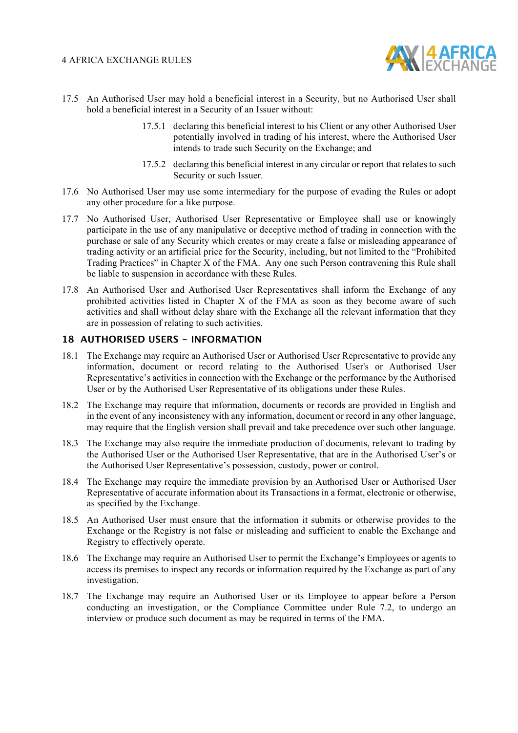

- 17.5 An Authorised User may hold a beneficial interest in a Security, but no Authorised User shall hold a beneficial interest in a Security of an Issuer without:
	- 17.5.1 declaring this beneficial interest to his Client or any other Authorised User potentially involved in trading of his interest, where the Authorised User intends to trade such Security on the Exchange; and
	- 17.5.2 declaring this beneficial interest in any circular or report that relates to such Security or such Issuer.
- 17.6 No Authorised User may use some intermediary for the purpose of evading the Rules or adopt any other procedure for a like purpose.
- 17.7 No Authorised User, Authorised User Representative or Employee shall use or knowingly participate in the use of any manipulative or deceptive method of trading in connection with the purchase or sale of any Security which creates or may create a false or misleading appearance of trading activity or an artificial price for the Security, including, but not limited to the "Prohibited Trading Practices" in Chapter X of the FMA. Any one such Person contravening this Rule shall be liable to suspension in accordance with these Rules.
- 17.8 An Authorised User and Authorised User Representatives shall inform the Exchange of any prohibited activities listed in Chapter X of the FMA as soon as they become aware of such activities and shall without delay share with the Exchange all the relevant information that they are in possession of relating to such activities.

#### **18 AUTHORISED USERS - INFORMATION**

- 18.1 The Exchange may require an Authorised User or Authorised User Representative to provide any information, document or record relating to the Authorised User's or Authorised User Representative's activities in connection with the Exchange or the performance by the Authorised User or by the Authorised User Representative of its obligations under these Rules.
- 18.2 The Exchange may require that information, documents or records are provided in English and in the event of any inconsistency with any information, document or record in any other language, may require that the English version shall prevail and take precedence over such other language.
- 18.3 The Exchange may also require the immediate production of documents, relevant to trading by the Authorised User or the Authorised User Representative, that are in the Authorised User's or the Authorised User Representative's possession, custody, power or control.
- 18.4 The Exchange may require the immediate provision by an Authorised User or Authorised User Representative of accurate information about its Transactions in a format, electronic or otherwise, as specified by the Exchange.
- 18.5 An Authorised User must ensure that the information it submits or otherwise provides to the Exchange or the Registry is not false or misleading and sufficient to enable the Exchange and Registry to effectively operate.
- 18.6 The Exchange may require an Authorised User to permit the Exchange's Employees or agents to access its premises to inspect any records or information required by the Exchange as part of any investigation.
- 18.7 The Exchange may require an Authorised User or its Employee to appear before a Person conducting an investigation, or the Compliance Committee under Rule 7.2, to undergo an interview or produce such document as may be required in terms of the FMA.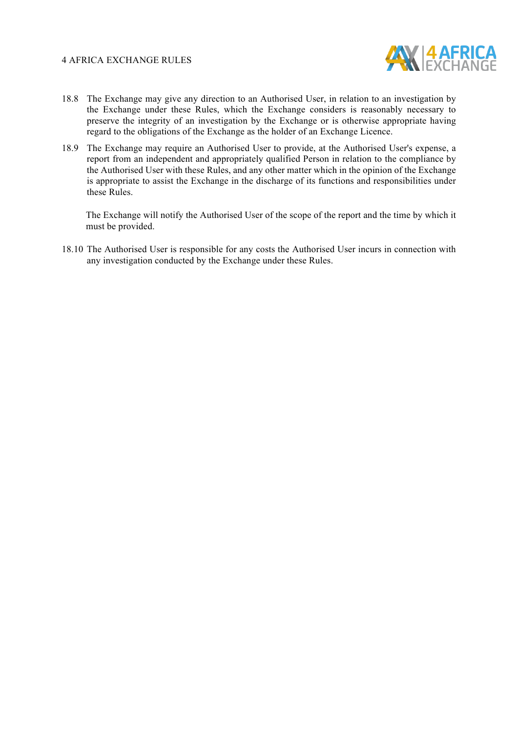

- 18.8 The Exchange may give any direction to an Authorised User, in relation to an investigation by the Exchange under these Rules, which the Exchange considers is reasonably necessary to preserve the integrity of an investigation by the Exchange or is otherwise appropriate having regard to the obligations of the Exchange as the holder of an Exchange Licence.
- 18.9 The Exchange may require an Authorised User to provide, at the Authorised User's expense, a report from an independent and appropriately qualified Person in relation to the compliance by the Authorised User with these Rules, and any other matter which in the opinion of the Exchange is appropriate to assist the Exchange in the discharge of its functions and responsibilities under these Rules.

The Exchange will notify the Authorised User of the scope of the report and the time by which it must be provided.

18.10 The Authorised User is responsible for any costs the Authorised User incurs in connection with any investigation conducted by the Exchange under these Rules.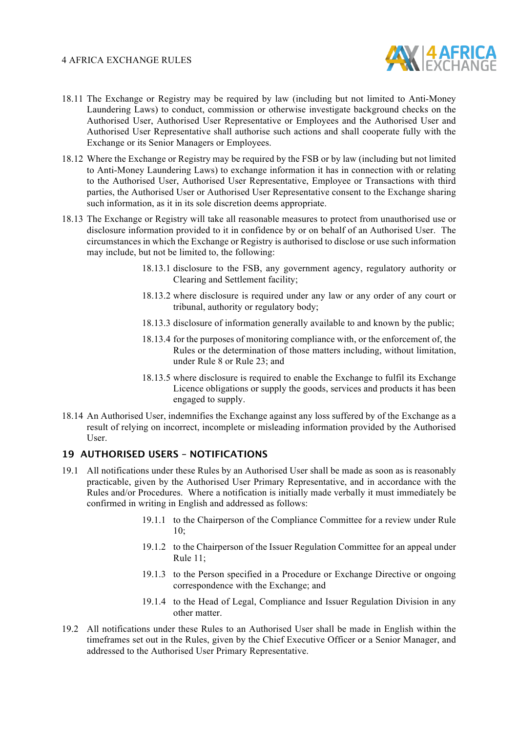

- 18.11 The Exchange or Registry may be required by law (including but not limited to Anti-Money Laundering Laws) to conduct, commission or otherwise investigate background checks on the Authorised User, Authorised User Representative or Employees and the Authorised User and Authorised User Representative shall authorise such actions and shall cooperate fully with the Exchange or its Senior Managers or Employees.
- 18.12 Where the Exchange or Registry may be required by the FSB or by law (including but not limited to Anti-Money Laundering Laws) to exchange information it has in connection with or relating to the Authorised User, Authorised User Representative, Employee or Transactions with third parties, the Authorised User or Authorised User Representative consent to the Exchange sharing such information, as it in its sole discretion deems appropriate.
- 18.13 The Exchange or Registry will take all reasonable measures to protect from unauthorised use or disclosure information provided to it in confidence by or on behalf of an Authorised User. The circumstances in which the Exchange or Registry is authorised to disclose or use such information may include, but not be limited to, the following:
	- 18.13.1 disclosure to the FSB, any government agency, regulatory authority or Clearing and Settlement facility;
	- 18.13.2 where disclosure is required under any law or any order of any court or tribunal, authority or regulatory body;
	- 18.13.3 disclosure of information generally available to and known by the public;
	- 18.13.4 for the purposes of monitoring compliance with, or the enforcement of, the Rules or the determination of those matters including, without limitation, under Rule 8 or Rule 23; and
	- 18.13.5 where disclosure is required to enable the Exchange to fulfil its Exchange Licence obligations or supply the goods, services and products it has been engaged to supply.
- 18.14 An Authorised User, indemnifies the Exchange against any loss suffered by of the Exchange as a result of relying on incorrect, incomplete or misleading information provided by the Authorised User.

#### **19 AUTHORISED USERS – NOTIFICATIONS**

- 19.1 All notifications under these Rules by an Authorised User shall be made as soon as is reasonably practicable, given by the Authorised User Primary Representative, and in accordance with the Rules and/or Procedures. Where a notification is initially made verbally it must immediately be confirmed in writing in English and addressed as follows:
	- 19.1.1 to the Chairperson of the Compliance Committee for a review under Rule  $10<sup>5</sup>$
	- 19.1.2 to the Chairperson of the Issuer Regulation Committee for an appeal under Rule 11;
	- 19.1.3 to the Person specified in a Procedure or Exchange Directive or ongoing correspondence with the Exchange; and
	- 19.1.4 to the Head of Legal, Compliance and Issuer Regulation Division in any other matter.
- 19.2 All notifications under these Rules to an Authorised User shall be made in English within the timeframes set out in the Rules, given by the Chief Executive Officer or a Senior Manager, and addressed to the Authorised User Primary Representative.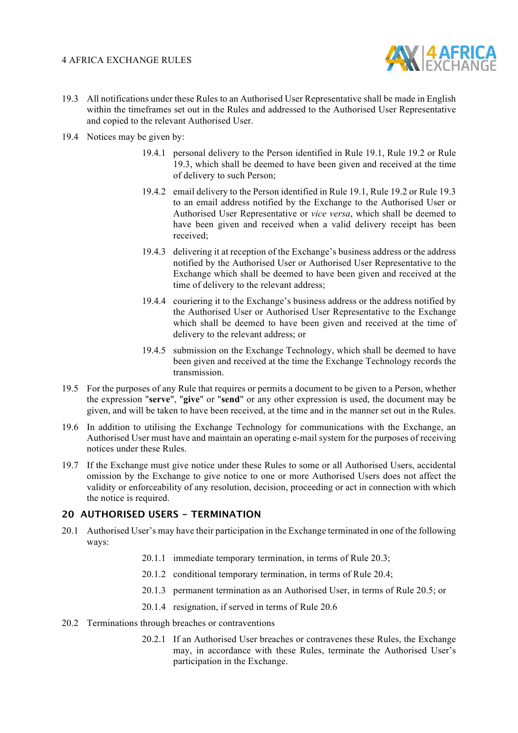

- 19.3 All notifications under these Rules to an Authorised User Representative shall be made in English within the timeframes set out in the Rules and addressed to the Authorised User Representative and copied to the relevant Authorised User.
- 19.4 Notices may be given by:
	- 19.4.1 personal delivery to the Person identified in Rule 19.1, Rule 19.2 or Rule 19.3, which shall be deemed to have been given and received at the time of delivery to such Person;
	- 19.4.2 email delivery to the Person identified in Rule 19.1, Rule 19.2 or Rule 19.3 to an email address notified by the Exchange to the Authorised User or Authorised User Representative or *vice versa*, which shall be deemed to have been given and received when a valid delivery receipt has been received;
	- 19.4.3 delivering it at reception of the Exchange's business address or the address notified by the Authorised User or Authorised User Representative to the Exchange which shall be deemed to have been given and received at the time of delivery to the relevant address;
	- 19.4.4 couriering it to the Exchange's business address or the address notified by the Authorised User or Authorised User Representative to the Exchange which shall be deemed to have been given and received at the time of delivery to the relevant address; or
	- 19.4.5 submission on the Exchange Technology, which shall be deemed to have been given and received at the time the Exchange Technology records the transmission.
- 19.5 For the purposes of any Rule that requires or permits a document to be given to a Person, whether the expression "**serve**", "**give**" or "**send**" or any other expression is used, the document may be given, and will be taken to have been received, at the time and in the manner set out in the Rules.
- 19.6 In addition to utilising the Exchange Technology for communications with the Exchange, an Authorised User must have and maintain an operating e-mail system for the purposes of receiving notices under these Rules.
- 19.7 If the Exchange must give notice under these Rules to some or all Authorised Users, accidental omission by the Exchange to give notice to one or more Authorised Users does not affect the validity or enforceability of any resolution, decision, proceeding or act in connection with which the notice is required.

#### **20 AUTHORISED USERS - TERMINATION**

- 20.1 Authorised User's may have their participation in the Exchange terminated in one of the following ways:
	- 20.1.1 immediate temporary termination, in terms of Rule 20.3;
	- 20.1.2 conditional temporary termination, in terms of Rule 20.4;
	- 20.1.3 permanent termination as an Authorised User, in terms of Rule 20.5; or
	- 20.1.4 resignation, if served in terms of Rule 20.6
- 20.2 Terminations through breaches or contraventions
	- 20.2.1 If an Authorised User breaches or contravenes these Rules, the Exchange may, in accordance with these Rules, terminate the Authorised User's participation in the Exchange.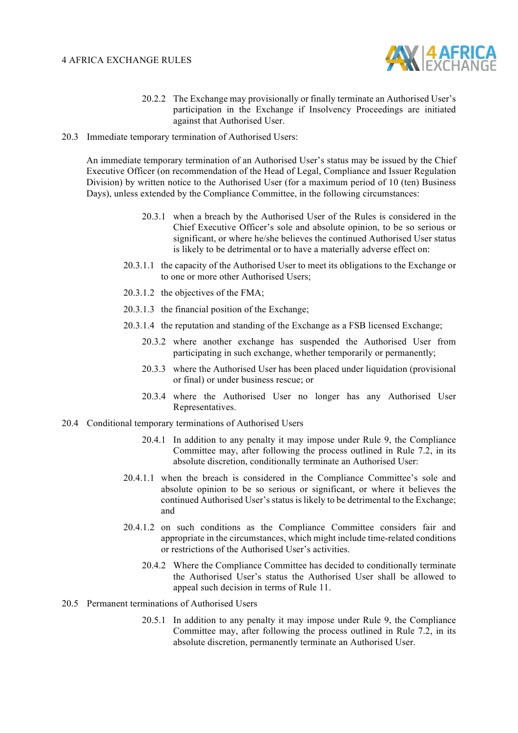

- 20.2.2 The Exchange may provisionally or finally terminate an Authorised User's participation in the Exchange if Insolvency Proceedings are initiated against that Authorised User.
- 20.3 Immediate temporary termination of Authorised Users:

An immediate temporary termination of an Authorised User's status may be issued by the Chief Executive Officer (on recommendation of the Head of Legal, Compliance and Issuer Regulation Division) by written notice to the Authorised User (for a maximum period of 10 (ten) Business Days), unless extended by the Compliance Committee, in the following circumstances:

- 20.3.1 when a breach by the Authorised User of the Rules is considered in the Chief Executive Officer's sole and absolute opinion, to be so serious or significant, or where he/she believes the continued Authorised User status is likely to be detrimental or to have a materially adverse effect on:
- 20.3.1.1 the capacity of the Authorised User to meet its obligations to the Exchange or to one or more other Authorised Users;
- 20.3.1.2 the objectives of the FMA;
- 20.3.1.3 the financial position of the Exchange;
- 20.3.1.4 the reputation and standing of the Exchange as a FSB licensed Exchange;
	- 20.3.2 where another exchange has suspended the Authorised User from participating in such exchange, whether temporarily or permanently;
	- 20.3.3 where the Authorised User has been placed under liquidation (provisional or final) or under business rescue; or
	- 20.3.4 where the Authorised User no longer has any Authorised User Representatives.
- 20.4 Conditional temporary terminations of Authorised Users
	- 20.4.1 In addition to any penalty it may impose under Rule 9, the Compliance Committee may, after following the process outlined in Rule 7.2, in its absolute discretion, conditionally terminate an Authorised User:
	- 20.4.1.1 when the breach is considered in the Compliance Committee's sole and absolute opinion to be so serious or significant, or where it believes the continued Authorised User's status is likely to be detrimental to the Exchange; and
	- 20.4.1.2 on such conditions as the Compliance Committee considers fair and appropriate in the circumstances, which might include time-related conditions or restrictions of the Authorised User's activities.
		- 20.4.2 Where the Compliance Committee has decided to conditionally terminate the Authorised User's status the Authorised User shall be allowed to appeal such decision in terms of Rule 11.
- 20.5 Permanent terminations of Authorised Users
	- 20.5.1 In addition to any penalty it may impose under Rule 9, the Compliance Committee may, after following the process outlined in Rule 7.2, in its absolute discretion, permanently terminate an Authorised User.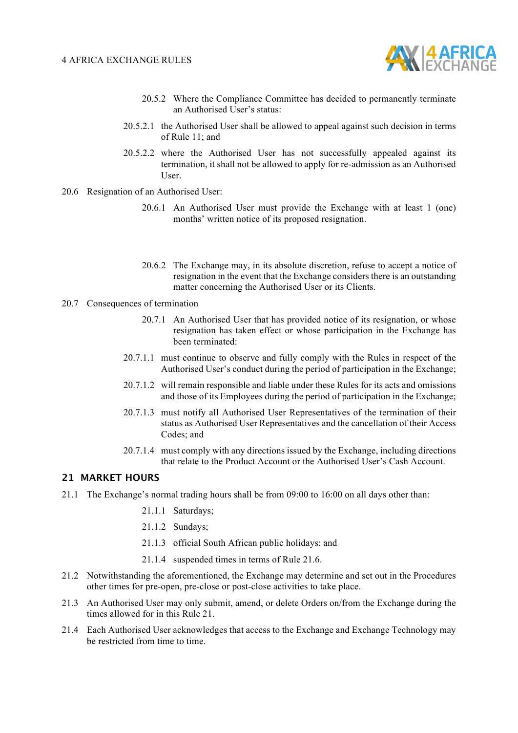

- 20.5.2 Where the Compliance Committee has decided to permanently terminate an Authorised User's status:
- 20.5.2.1 the Authorised User shall be allowed to appeal against such decision in terms of Rule 11; and
- 20.5.2.2 where the Authorised User has not successfully appealed against its termination, it shall not be allowed to apply for re-admission as an Authorised User.
- 20.6 Resignation of an Authorised User:
	- 20.6.1 An Authorised User must provide the Exchange with at least 1 (one) months' written notice of its proposed resignation.
	- 20.6.2 The Exchange may, in its absolute discretion, refuse to accept a notice of resignation in the event that the Exchange considers there is an outstanding matter concerning the Authorised User or its Clients.
- 20.7 Consequences of termination
	- 20.7.1 An Authorised User that has provided notice of its resignation, or whose resignation has taken effect or whose participation in the Exchange has been terminated:
	- 20.7.1.1 must continue to observe and fully comply with the Rules in respect of the Authorised User's conduct during the period of participation in the Exchange;
	- 20.7.1.2 will remain responsible and liable under these Rules for its acts and omissions and those of its Employees during the period of participation in the Exchange;
	- 20.7.1.3 must notify all Authorised User Representatives of the termination of their status as Authorised User Representatives and the cancellation of their Access Codes; and
	- 20.7.1.4 must comply with any directions issued by the Exchange, including directions that relate to the Product Account or the Authorised User's Cash Account.

#### **21 MARKET HOURS**

- 21.1 The Exchange's normal trading hours shall be from 09:00 to 16:00 on all days other than:
	- 21.1.1 Saturdays;
	- 21.1.2 Sundays;
	- 21.1.3 official South African public holidays; and
	- 21.1.4 suspended times in terms of Rule 21.6.
- 21.2 Notwithstanding the aforementioned, the Exchange may determine and set out in the Procedures other times for pre-open, pre-close or post-close activities to take place.
- 21.3 An Authorised User may only submit, amend, or delete Orders on/from the Exchange during the times allowed for in this Rule 21.
- 21.4 Each Authorised User acknowledges that access to the Exchange and Exchange Technology may be restricted from time to time.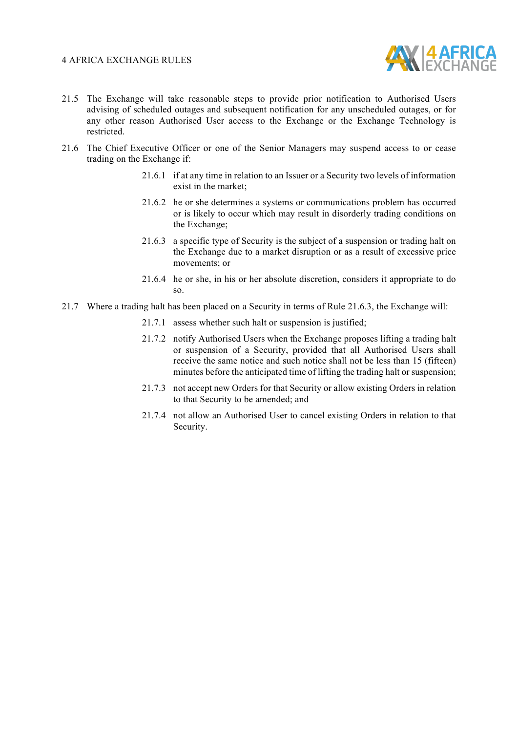

- 21.5 The Exchange will take reasonable steps to provide prior notification to Authorised Users advising of scheduled outages and subsequent notification for any unscheduled outages, or for any other reason Authorised User access to the Exchange or the Exchange Technology is restricted.
- 21.6 The Chief Executive Officer or one of the Senior Managers may suspend access to or cease trading on the Exchange if:
	- 21.6.1 if at any time in relation to an Issuer or a Security two levels of information exist in the market;
	- 21.6.2 he or she determines a systems or communications problem has occurred or is likely to occur which may result in disorderly trading conditions on the Exchange;
	- 21.6.3 a specific type of Security is the subject of a suspension or trading halt on the Exchange due to a market disruption or as a result of excessive price movements; or
	- 21.6.4 he or she, in his or her absolute discretion, considers it appropriate to do so.
- 21.7 Where a trading halt has been placed on a Security in terms of Rule 21.6.3, the Exchange will:
	- 21.7.1 assess whether such halt or suspension is justified;
	- 21.7.2 notify Authorised Users when the Exchange proposes lifting a trading halt or suspension of a Security, provided that all Authorised Users shall receive the same notice and such notice shall not be less than 15 (fifteen) minutes before the anticipated time of lifting the trading halt or suspension;
	- 21.7.3 not accept new Orders for that Security or allow existing Orders in relation to that Security to be amended; and
	- 21.7.4 not allow an Authorised User to cancel existing Orders in relation to that Security.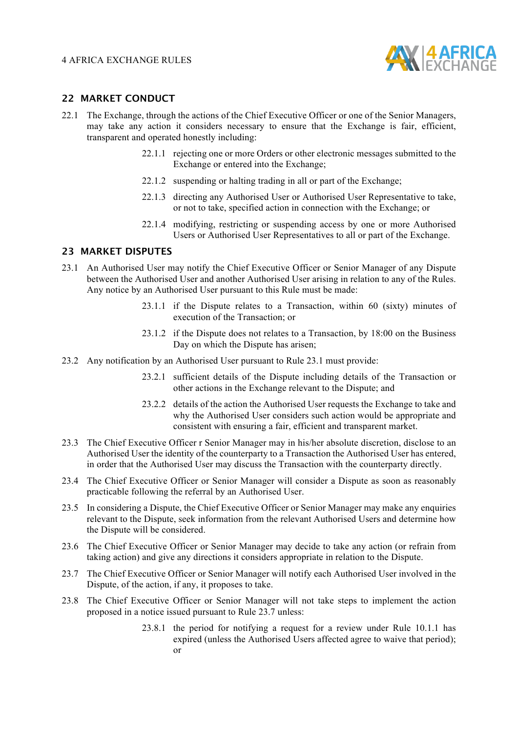

#### **22 MARKET CONDUCT**

- 22.1 The Exchange, through the actions of the Chief Executive Officer or one of the Senior Managers, may take any action it considers necessary to ensure that the Exchange is fair, efficient, transparent and operated honestly including:
	- 22.1.1 rejecting one or more Orders or other electronic messages submitted to the Exchange or entered into the Exchange;
	- 22.1.2 suspending or halting trading in all or part of the Exchange;
	- 22.1.3 directing any Authorised User or Authorised User Representative to take, or not to take, specified action in connection with the Exchange; or
	- 22.1.4 modifying, restricting or suspending access by one or more Authorised Users or Authorised User Representatives to all or part of the Exchange.

#### **23 MARKET DISPUTES**

- 23.1 An Authorised User may notify the Chief Executive Officer or Senior Manager of any Dispute between the Authorised User and another Authorised User arising in relation to any of the Rules. Any notice by an Authorised User pursuant to this Rule must be made:
	- 23.1.1 if the Dispute relates to a Transaction, within 60 (sixty) minutes of execution of the Transaction; or
	- 23.1.2 if the Dispute does not relates to a Transaction, by 18:00 on the Business Day on which the Dispute has arisen;
- 23.2 Any notification by an Authorised User pursuant to Rule 23.1 must provide:
	- 23.2.1 sufficient details of the Dispute including details of the Transaction or other actions in the Exchange relevant to the Dispute; and
	- 23.2.2 details of the action the Authorised User requests the Exchange to take and why the Authorised User considers such action would be appropriate and consistent with ensuring a fair, efficient and transparent market.
- 23.3 The Chief Executive Officer r Senior Manager may in his/her absolute discretion, disclose to an Authorised User the identity of the counterparty to a Transaction the Authorised User has entered, in order that the Authorised User may discuss the Transaction with the counterparty directly.
- 23.4 The Chief Executive Officer or Senior Manager will consider a Dispute as soon as reasonably practicable following the referral by an Authorised User.
- 23.5 In considering a Dispute, the Chief Executive Officer or Senior Manager may make any enquiries relevant to the Dispute, seek information from the relevant Authorised Users and determine how the Dispute will be considered.
- 23.6 The Chief Executive Officer or Senior Manager may decide to take any action (or refrain from taking action) and give any directions it considers appropriate in relation to the Dispute.
- 23.7 The Chief Executive Officer or Senior Manager will notify each Authorised User involved in the Dispute, of the action, if any, it proposes to take.
- 23.8 The Chief Executive Officer or Senior Manager will not take steps to implement the action proposed in a notice issued pursuant to Rule 23.7 unless:
	- 23.8.1 the period for notifying a request for a review under Rule 10.1.1 has expired (unless the Authorised Users affected agree to waive that period); or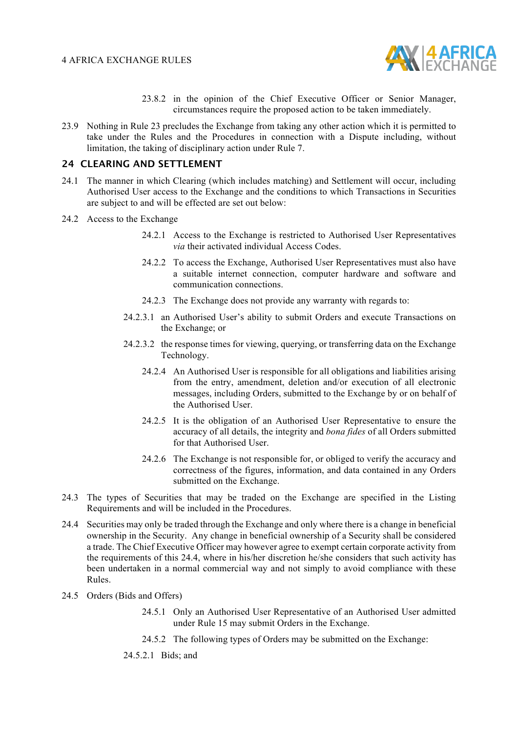

- 23.8.2 in the opinion of the Chief Executive Officer or Senior Manager, circumstances require the proposed action to be taken immediately.
- 23.9 Nothing in Rule 23 precludes the Exchange from taking any other action which it is permitted to take under the Rules and the Procedures in connection with a Dispute including, without limitation, the taking of disciplinary action under Rule 7.

#### **24 CLEARING AND SETTLEMENT**

- 24.1 The manner in which Clearing (which includes matching) and Settlement will occur, including Authorised User access to the Exchange and the conditions to which Transactions in Securities are subject to and will be effected are set out below:
- 24.2 Access to the Exchange
	- 24.2.1 Access to the Exchange is restricted to Authorised User Representatives *via* their activated individual Access Codes.
	- 24.2.2 To access the Exchange, Authorised User Representatives must also have a suitable internet connection, computer hardware and software and communication connections.
	- 24.2.3 The Exchange does not provide any warranty with regards to:
	- 24.2.3.1 an Authorised User's ability to submit Orders and execute Transactions on the Exchange; or
	- 24.2.3.2 the response times for viewing, querying, or transferring data on the Exchange Technology.
		- 24.2.4 An Authorised User is responsible for all obligations and liabilities arising from the entry, amendment, deletion and/or execution of all electronic messages, including Orders, submitted to the Exchange by or on behalf of the Authorised User.
		- 24.2.5 It is the obligation of an Authorised User Representative to ensure the accuracy of all details, the integrity and *bona fides* of all Orders submitted for that Authorised User.
		- 24.2.6 The Exchange is not responsible for, or obliged to verify the accuracy and correctness of the figures, information, and data contained in any Orders submitted on the Exchange.
- 24.3 The types of Securities that may be traded on the Exchange are specified in the Listing Requirements and will be included in the Procedures.
- 24.4 Securities may only be traded through the Exchange and only where there is a change in beneficial ownership in the Security. Any change in beneficial ownership of a Security shall be considered a trade. The Chief Executive Officer may however agree to exempt certain corporate activity from the requirements of this 24.4, where in his/her discretion he/she considers that such activity has been undertaken in a normal commercial way and not simply to avoid compliance with these Rules.
- 24.5 Orders (Bids and Offers)
	- 24.5.1 Only an Authorised User Representative of an Authorised User admitted under Rule 15 may submit Orders in the Exchange.
	- 24.5.2 The following types of Orders may be submitted on the Exchange:
	- 24.5.2.1 Bids; and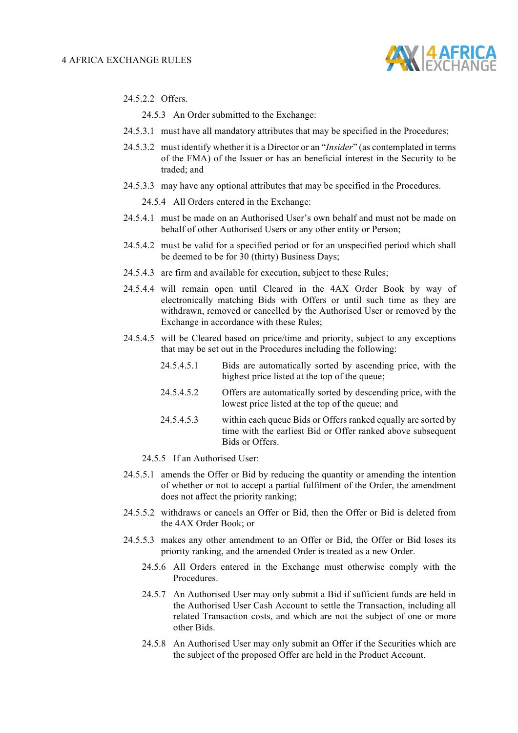

24.5.2.2 Offers.

24.5.3 An Order submitted to the Exchange:

- 24.5.3.1 must have all mandatory attributes that may be specified in the Procedures;
- 24.5.3.2 must identify whether it is a Director or an "*Insider*" (as contemplated in terms of the FMA) of the Issuer or has an beneficial interest in the Security to be traded; and
- 24.5.3.3 may have any optional attributes that may be specified in the Procedures.

24.5.4 All Orders entered in the Exchange:

- 24.5.4.1 must be made on an Authorised User's own behalf and must not be made on behalf of other Authorised Users or any other entity or Person;
- 24.5.4.2 must be valid for a specified period or for an unspecified period which shall be deemed to be for 30 (thirty) Business Days;
- 24.5.4.3 are firm and available for execution, subject to these Rules;
- 24.5.4.4 will remain open until Cleared in the 4AX Order Book by way of electronically matching Bids with Offers or until such time as they are withdrawn, removed or cancelled by the Authorised User or removed by the Exchange in accordance with these Rules;
- 24.5.4.5 will be Cleared based on price/time and priority, subject to any exceptions that may be set out in the Procedures including the following:
	- 24.5.4.5.1 Bids are automatically sorted by ascending price, with the highest price listed at the top of the queue;
	- 24.5.4.5.2 Offers are automatically sorted by descending price, with the lowest price listed at the top of the queue; and
	- 24.5.4.5.3 within each queue Bids or Offers ranked equally are sorted by time with the earliest Bid or Offer ranked above subsequent Bids or Offers.
	- 24.5.5 If an Authorised User:
- 24.5.5.1 amends the Offer or Bid by reducing the quantity or amending the intention of whether or not to accept a partial fulfilment of the Order, the amendment does not affect the priority ranking;
- 24.5.5.2 withdraws or cancels an Offer or Bid, then the Offer or Bid is deleted from the 4AX Order Book; or
- 24.5.5.3 makes any other amendment to an Offer or Bid, the Offer or Bid loses its priority ranking, and the amended Order is treated as a new Order.
	- 24.5.6 All Orders entered in the Exchange must otherwise comply with the **Procedures**
	- 24.5.7 An Authorised User may only submit a Bid if sufficient funds are held in the Authorised User Cash Account to settle the Transaction, including all related Transaction costs, and which are not the subject of one or more other Bids.
	- 24.5.8 An Authorised User may only submit an Offer if the Securities which are the subject of the proposed Offer are held in the Product Account.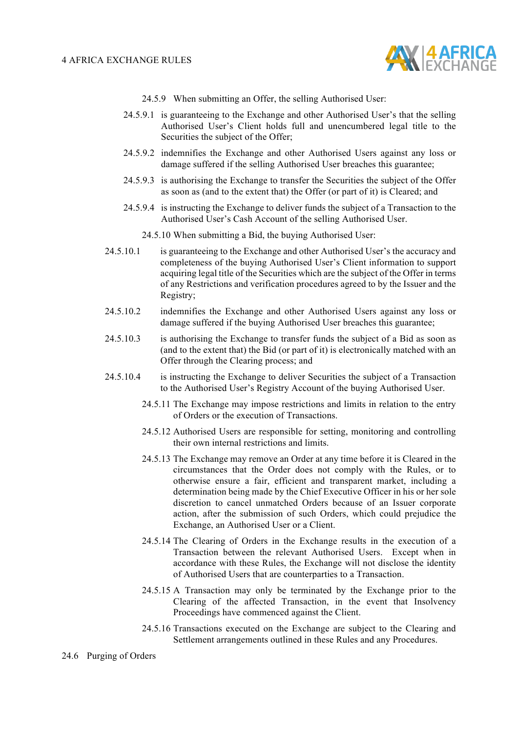

- 24.5.9 When submitting an Offer, the selling Authorised User:
- 24.5.9.1 is guaranteeing to the Exchange and other Authorised User's that the selling Authorised User's Client holds full and unencumbered legal title to the Securities the subject of the Offer;
- 24.5.9.2 indemnifies the Exchange and other Authorised Users against any loss or damage suffered if the selling Authorised User breaches this guarantee;
- 24.5.9.3 is authorising the Exchange to transfer the Securities the subject of the Offer as soon as (and to the extent that) the Offer (or part of it) is Cleared; and
- 24.5.9.4 is instructing the Exchange to deliver funds the subject of a Transaction to the Authorised User's Cash Account of the selling Authorised User.
	- 24.5.10 When submitting a Bid, the buying Authorised User:
- 24.5.10.1 is guaranteeing to the Exchange and other Authorised User's the accuracy and completeness of the buying Authorised User's Client information to support acquiring legal title of the Securities which are the subject of the Offer in terms of any Restrictions and verification procedures agreed to by the Issuer and the Registry;
- 24.5.10.2 indemnifies the Exchange and other Authorised Users against any loss or damage suffered if the buying Authorised User breaches this guarantee;
- 24.5.10.3 is authorising the Exchange to transfer funds the subject of a Bid as soon as (and to the extent that) the Bid (or part of it) is electronically matched with an Offer through the Clearing process; and
- 24.5.10.4 is instructing the Exchange to deliver Securities the subject of a Transaction to the Authorised User's Registry Account of the buying Authorised User.
	- 24.5.11 The Exchange may impose restrictions and limits in relation to the entry of Orders or the execution of Transactions.
	- 24.5.12 Authorised Users are responsible for setting, monitoring and controlling their own internal restrictions and limits.
	- 24.5.13 The Exchange may remove an Order at any time before it is Cleared in the circumstances that the Order does not comply with the Rules, or to otherwise ensure a fair, efficient and transparent market, including a determination being made by the Chief Executive Officer in his or her sole discretion to cancel unmatched Orders because of an Issuer corporate action, after the submission of such Orders, which could prejudice the Exchange, an Authorised User or a Client.
	- 24.5.14 The Clearing of Orders in the Exchange results in the execution of a Transaction between the relevant Authorised Users. Except when in accordance with these Rules, the Exchange will not disclose the identity of Authorised Users that are counterparties to a Transaction.
	- 24.5.15 A Transaction may only be terminated by the Exchange prior to the Clearing of the affected Transaction, in the event that Insolvency Proceedings have commenced against the Client.
	- 24.5.16 Transactions executed on the Exchange are subject to the Clearing and Settlement arrangements outlined in these Rules and any Procedures.

#### 24.6 Purging of Orders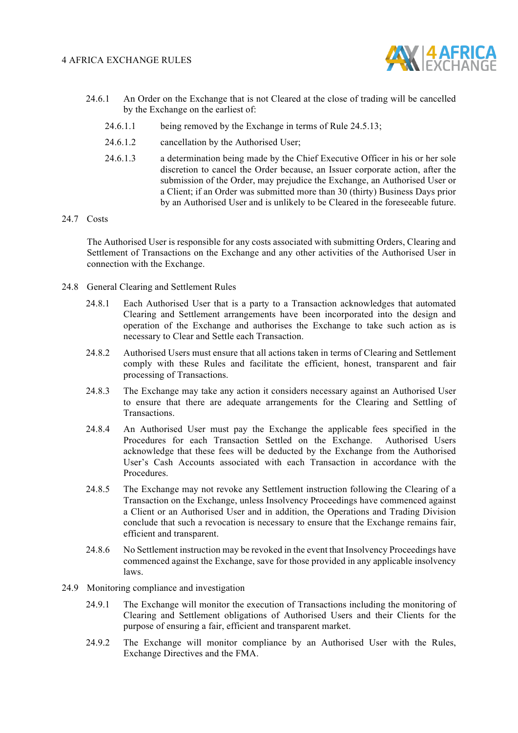

- 24.6.1 An Order on the Exchange that is not Cleared at the close of trading will be cancelled by the Exchange on the earliest of:
	- 24.6.1.1 being removed by the Exchange in terms of Rule 24.5.13;
	- 24.6.1.2 cancellation by the Authorised User;
	- 24.6.1.3 a determination being made by the Chief Executive Officer in his or her sole discretion to cancel the Order because, an Issuer corporate action, after the submission of the Order, may prejudice the Exchange, an Authorised User or a Client; if an Order was submitted more than 30 (thirty) Business Days prior by an Authorised User and is unlikely to be Cleared in the foreseeable future.

#### 24.7 Costs

The Authorised User is responsible for any costs associated with submitting Orders, Clearing and Settlement of Transactions on the Exchange and any other activities of the Authorised User in connection with the Exchange.

- 24.8 General Clearing and Settlement Rules
	- 24.8.1 Each Authorised User that is a party to a Transaction acknowledges that automated Clearing and Settlement arrangements have been incorporated into the design and operation of the Exchange and authorises the Exchange to take such action as is necessary to Clear and Settle each Transaction.
	- 24.8.2 Authorised Users must ensure that all actions taken in terms of Clearing and Settlement comply with these Rules and facilitate the efficient, honest, transparent and fair processing of Transactions.
	- 24.8.3 The Exchange may take any action it considers necessary against an Authorised User to ensure that there are adequate arrangements for the Clearing and Settling of Transactions.
	- 24.8.4 An Authorised User must pay the Exchange the applicable fees specified in the Procedures for each Transaction Settled on the Exchange. Authorised Users acknowledge that these fees will be deducted by the Exchange from the Authorised User's Cash Accounts associated with each Transaction in accordance with the **Procedures**
	- 24.8.5 The Exchange may not revoke any Settlement instruction following the Clearing of a Transaction on the Exchange, unless Insolvency Proceedings have commenced against a Client or an Authorised User and in addition, the Operations and Trading Division conclude that such a revocation is necessary to ensure that the Exchange remains fair, efficient and transparent.
	- 24.8.6 No Settlement instruction may be revoked in the event that Insolvency Proceedings have commenced against the Exchange, save for those provided in any applicable insolvency laws.
- 24.9 Monitoring compliance and investigation
	- 24.9.1 The Exchange will monitor the execution of Transactions including the monitoring of Clearing and Settlement obligations of Authorised Users and their Clients for the purpose of ensuring a fair, efficient and transparent market.
	- 24.9.2 The Exchange will monitor compliance by an Authorised User with the Rules, Exchange Directives and the FMA.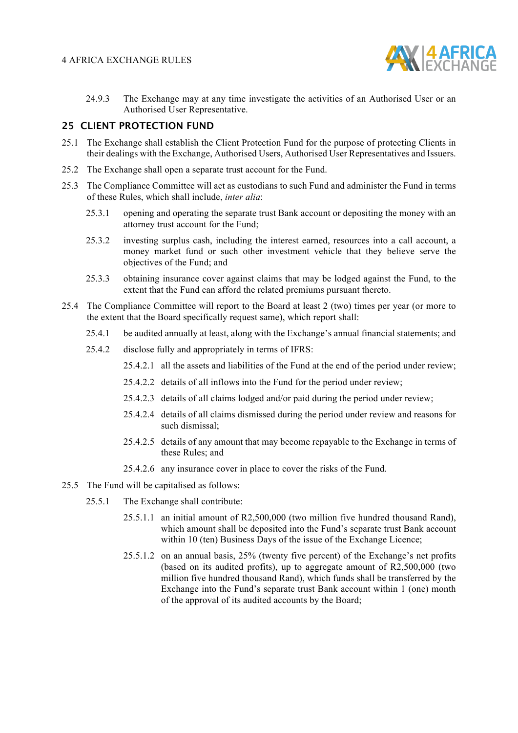

24.9.3 The Exchange may at any time investigate the activities of an Authorised User or an Authorised User Representative.

#### **25 CLIENT PROTECTION FUND**

- 25.1 The Exchange shall establish the Client Protection Fund for the purpose of protecting Clients in their dealings with the Exchange, Authorised Users, Authorised User Representatives and Issuers.
- 25.2 The Exchange shall open a separate trust account for the Fund.
- 25.3 The Compliance Committee will act as custodians to such Fund and administer the Fund in terms of these Rules, which shall include, *inter alia*:
	- 25.3.1 opening and operating the separate trust Bank account or depositing the money with an attorney trust account for the Fund;
	- 25.3.2 investing surplus cash, including the interest earned, resources into a call account, a money market fund or such other investment vehicle that they believe serve the objectives of the Fund; and
	- 25.3.3 obtaining insurance cover against claims that may be lodged against the Fund, to the extent that the Fund can afford the related premiums pursuant thereto.
- 25.4 The Compliance Committee will report to the Board at least 2 (two) times per year (or more to the extent that the Board specifically request same), which report shall:
	- 25.4.1 be audited annually at least, along with the Exchange's annual financial statements; and
	- 25.4.2 disclose fully and appropriately in terms of IFRS:
		- 25.4.2.1 all the assets and liabilities of the Fund at the end of the period under review;
		- 25.4.2.2 details of all inflows into the Fund for the period under review;
		- 25.4.2.3 details of all claims lodged and/or paid during the period under review;
		- 25.4.2.4 details of all claims dismissed during the period under review and reasons for such dismissal;
		- 25.4.2.5 details of any amount that may become repayable to the Exchange in terms of these Rules; and
		- 25.4.2.6 any insurance cover in place to cover the risks of the Fund.
- 25.5 The Fund will be capitalised as follows:
	- 25.5.1 The Exchange shall contribute:
		- 25.5.1.1 an initial amount of R2,500,000 (two million five hundred thousand Rand), which amount shall be deposited into the Fund's separate trust Bank account within 10 (ten) Business Days of the issue of the Exchange Licence:
		- 25.5.1.2 on an annual basis, 25% (twenty five percent) of the Exchange's net profits (based on its audited profits), up to aggregate amount of R2,500,000 (two million five hundred thousand Rand), which funds shall be transferred by the Exchange into the Fund's separate trust Bank account within 1 (one) month of the approval of its audited accounts by the Board;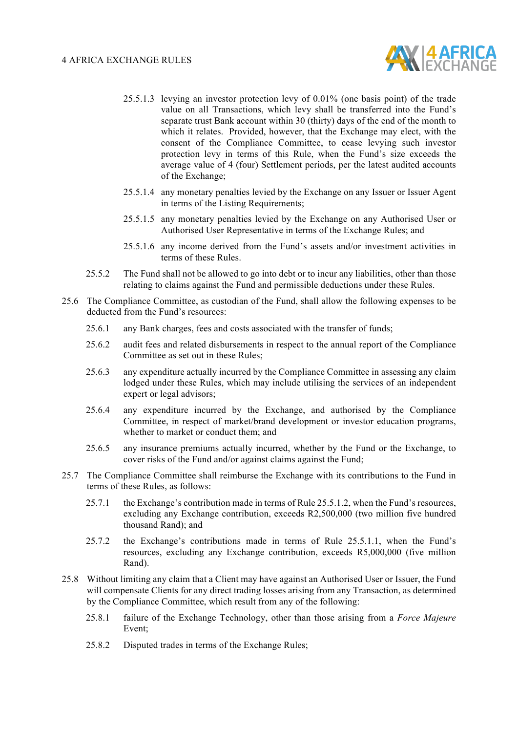

- 25.5.1.3 levying an investor protection levy of 0.01% (one basis point) of the trade value on all Transactions, which levy shall be transferred into the Fund's separate trust Bank account within 30 (thirty) days of the end of the month to which it relates. Provided, however, that the Exchange may elect, with the consent of the Compliance Committee, to cease levying such investor protection levy in terms of this Rule, when the Fund's size exceeds the average value of 4 (four) Settlement periods, per the latest audited accounts of the Exchange;
- 25.5.1.4 any monetary penalties levied by the Exchange on any Issuer or Issuer Agent in terms of the Listing Requirements;
- 25.5.1.5 any monetary penalties levied by the Exchange on any Authorised User or Authorised User Representative in terms of the Exchange Rules; and
- 25.5.1.6 any income derived from the Fund's assets and/or investment activities in terms of these Rules.
- 25.5.2 The Fund shall not be allowed to go into debt or to incur any liabilities, other than those relating to claims against the Fund and permissible deductions under these Rules.
- 25.6 The Compliance Committee, as custodian of the Fund, shall allow the following expenses to be deducted from the Fund's resources:
	- 25.6.1 any Bank charges, fees and costs associated with the transfer of funds;
	- 25.6.2 audit fees and related disbursements in respect to the annual report of the Compliance Committee as set out in these Rules;
	- 25.6.3 any expenditure actually incurred by the Compliance Committee in assessing any claim lodged under these Rules, which may include utilising the services of an independent expert or legal advisors;
	- 25.6.4 any expenditure incurred by the Exchange, and authorised by the Compliance Committee, in respect of market/brand development or investor education programs, whether to market or conduct them; and
	- 25.6.5 any insurance premiums actually incurred, whether by the Fund or the Exchange, to cover risks of the Fund and/or against claims against the Fund;
- 25.7 The Compliance Committee shall reimburse the Exchange with its contributions to the Fund in terms of these Rules, as follows:
	- 25.7.1 the Exchange's contribution made in terms of Rule 25.5.1.2, when the Fund's resources, excluding any Exchange contribution, exceeds R2,500,000 (two million five hundred thousand Rand); and
	- 25.7.2 the Exchange's contributions made in terms of Rule 25.5.1.1, when the Fund's resources, excluding any Exchange contribution, exceeds R5,000,000 (five million Rand).
- 25.8 Without limiting any claim that a Client may have against an Authorised User or Issuer, the Fund will compensate Clients for any direct trading losses arising from any Transaction, as determined by the Compliance Committee, which result from any of the following:
	- 25.8.1 failure of the Exchange Technology, other than those arising from a *Force Majeure* Event;
	- 25.8.2 Disputed trades in terms of the Exchange Rules;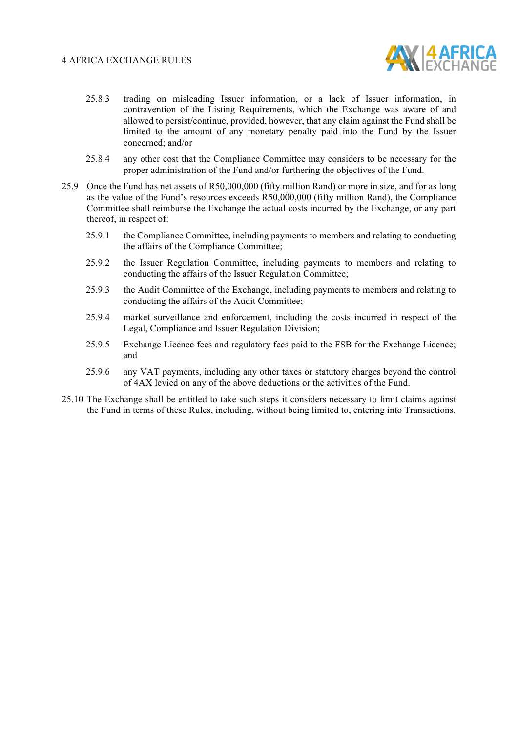

- 25.8.3 trading on misleading Issuer information, or a lack of Issuer information, in contravention of the Listing Requirements, which the Exchange was aware of and allowed to persist/continue, provided, however, that any claim against the Fund shall be limited to the amount of any monetary penalty paid into the Fund by the Issuer concerned; and/or
- 25.8.4 any other cost that the Compliance Committee may considers to be necessary for the proper administration of the Fund and/or furthering the objectives of the Fund.
- 25.9 Once the Fund has net assets of R50,000,000 (fifty million Rand) or more in size, and for as long as the value of the Fund's resources exceeds R50,000,000 (fifty million Rand), the Compliance Committee shall reimburse the Exchange the actual costs incurred by the Exchange, or any part thereof, in respect of:
	- 25.9.1 the Compliance Committee, including payments to members and relating to conducting the affairs of the Compliance Committee;
	- 25.9.2 the Issuer Regulation Committee, including payments to members and relating to conducting the affairs of the Issuer Regulation Committee;
	- 25.9.3 the Audit Committee of the Exchange, including payments to members and relating to conducting the affairs of the Audit Committee;
	- 25.9.4 market surveillance and enforcement, including the costs incurred in respect of the Legal, Compliance and Issuer Regulation Division;
	- 25.9.5 Exchange Licence fees and regulatory fees paid to the FSB for the Exchange Licence; and
	- 25.9.6 any VAT payments, including any other taxes or statutory charges beyond the control of 4AX levied on any of the above deductions or the activities of the Fund.
- 25.10 The Exchange shall be entitled to take such steps it considers necessary to limit claims against the Fund in terms of these Rules, including, without being limited to, entering into Transactions.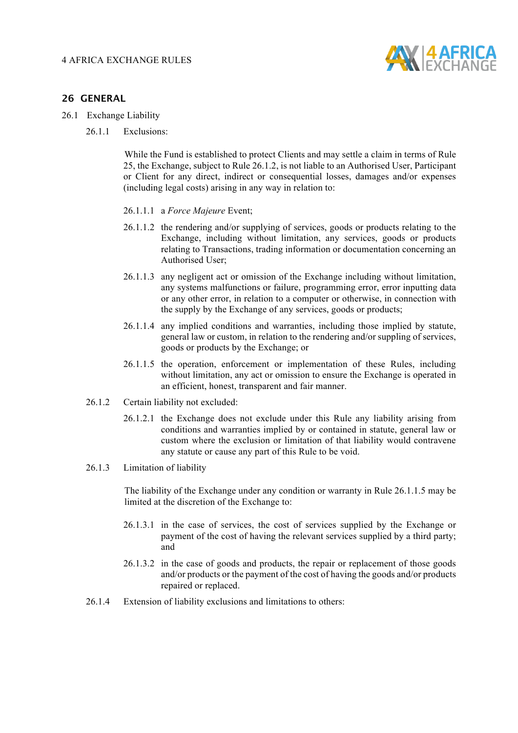

#### **26 GENERAL**

- 26.1 Exchange Liability
	- 26.1.1 Exclusions:

While the Fund is established to protect Clients and may settle a claim in terms of Rule 25, the Exchange, subject to Rule 26.1.2, is not liable to an Authorised User, Participant or Client for any direct, indirect or consequential losses, damages and/or expenses (including legal costs) arising in any way in relation to:

- 26.1.1.1 a *Force Majeure* Event;
- 26.1.1.2 the rendering and/or supplying of services, goods or products relating to the Exchange, including without limitation, any services, goods or products relating to Transactions, trading information or documentation concerning an Authorised User;
- 26.1.1.3 any negligent act or omission of the Exchange including without limitation, any systems malfunctions or failure, programming error, error inputting data or any other error, in relation to a computer or otherwise, in connection with the supply by the Exchange of any services, goods or products;
- 26.1.1.4 any implied conditions and warranties, including those implied by statute, general law or custom, in relation to the rendering and/or suppling of services, goods or products by the Exchange; or
- 26.1.1.5 the operation, enforcement or implementation of these Rules, including without limitation, any act or omission to ensure the Exchange is operated in an efficient, honest, transparent and fair manner.
- 26.1.2 Certain liability not excluded:
	- 26.1.2.1 the Exchange does not exclude under this Rule any liability arising from conditions and warranties implied by or contained in statute, general law or custom where the exclusion or limitation of that liability would contravene any statute or cause any part of this Rule to be void.

#### 26.1.3 Limitation of liability

The liability of the Exchange under any condition or warranty in Rule 26.1.1.5 may be limited at the discretion of the Exchange to:

- 26.1.3.1 in the case of services, the cost of services supplied by the Exchange or payment of the cost of having the relevant services supplied by a third party; and
- 26.1.3.2 in the case of goods and products, the repair or replacement of those goods and/or products or the payment of the cost of having the goods and/or products repaired or replaced.
- 26.1.4 Extension of liability exclusions and limitations to others: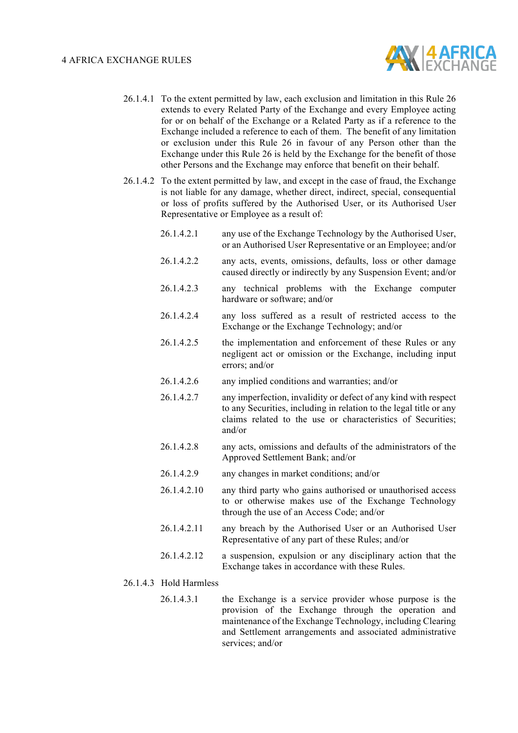

- 26.1.4.1 To the extent permitted by law, each exclusion and limitation in this Rule 26 extends to every Related Party of the Exchange and every Employee acting for or on behalf of the Exchange or a Related Party as if a reference to the Exchange included a reference to each of them. The benefit of any limitation or exclusion under this Rule 26 in favour of any Person other than the Exchange under this Rule 26 is held by the Exchange for the benefit of those other Persons and the Exchange may enforce that benefit on their behalf.
- 26.1.4.2 To the extent permitted by law, and except in the case of fraud, the Exchange is not liable for any damage, whether direct, indirect, special, consequential or loss of profits suffered by the Authorised User, or its Authorised User Representative or Employee as a result of:
	- 26.1.4.2.1 any use of the Exchange Technology by the Authorised User, or an Authorised User Representative or an Employee; and/or
	- 26.1.4.2.2 any acts, events, omissions, defaults, loss or other damage caused directly or indirectly by any Suspension Event; and/or
	- 26.1.4.2.3 any technical problems with the Exchange computer hardware or software; and/or
	- 26.1.4.2.4 any loss suffered as a result of restricted access to the Exchange or the Exchange Technology; and/or
	- 26.1.4.2.5 the implementation and enforcement of these Rules or any negligent act or omission or the Exchange, including input errors; and/or
	- 26.1.4.2.6 any implied conditions and warranties; and/or
	- 26.1.4.2.7 any imperfection, invalidity or defect of any kind with respect to any Securities, including in relation to the legal title or any claims related to the use or characteristics of Securities; and/or
	- 26.1.4.2.8 any acts, omissions and defaults of the administrators of the Approved Settlement Bank; and/or
	- 26.1.4.2.9 any changes in market conditions; and/or
	- 26.1.4.2.10 any third party who gains authorised or unauthorised access to or otherwise makes use of the Exchange Technology through the use of an Access Code; and/or
	- 26.1.4.2.11 any breach by the Authorised User or an Authorised User Representative of any part of these Rules; and/or
	- 26.1.4.2.12 a suspension, expulsion or any disciplinary action that the Exchange takes in accordance with these Rules.
- 26.1.4.3 Hold Harmless
	- 26.1.4.3.1 the Exchange is a service provider whose purpose is the provision of the Exchange through the operation and maintenance of the Exchange Technology, including Clearing and Settlement arrangements and associated administrative services; and/or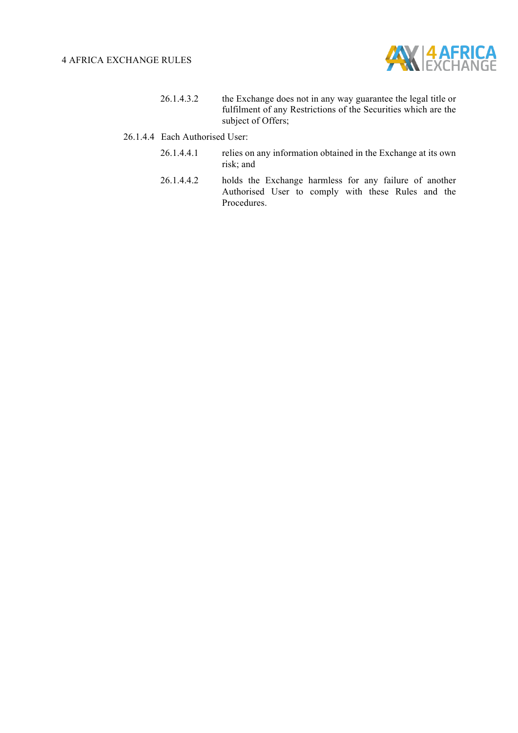

- 26.1.4.3.2 the Exchange does not in any way guarantee the legal title or fulfilment of any Restrictions of the Securities which are the subject of Offers;
- 26.1.4.4 Each Authorised User:
	- 26.1.4.4.1 relies on any information obtained in the Exchange at its own risk; and
	- 26.1.4.4.2 holds the Exchange harmless for any failure of another Authorised User to comply with these Rules and the Procedures.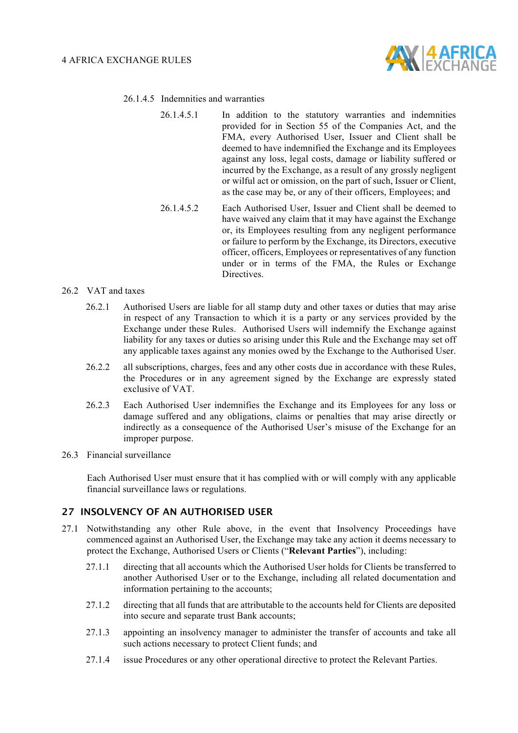

- 26.1.4.5 Indemnities and warranties
	- 26.1.4.5.1 In addition to the statutory warranties and indemnities provided for in Section 55 of the Companies Act, and the FMA, every Authorised User, Issuer and Client shall be deemed to have indemnified the Exchange and its Employees against any loss, legal costs, damage or liability suffered or incurred by the Exchange, as a result of any grossly negligent or wilful act or omission, on the part of such, Issuer or Client, as the case may be, or any of their officers, Employees; and
	- 26.1.4.5.2 Each Authorised User, Issuer and Client shall be deemed to have waived any claim that it may have against the Exchange or, its Employees resulting from any negligent performance or failure to perform by the Exchange, its Directors, executive officer, officers, Employees or representatives of any function under or in terms of the FMA, the Rules or Exchange **Directives**
- 26.2 VAT and taxes
	- 26.2.1 Authorised Users are liable for all stamp duty and other taxes or duties that may arise in respect of any Transaction to which it is a party or any services provided by the Exchange under these Rules. Authorised Users will indemnify the Exchange against liability for any taxes or duties so arising under this Rule and the Exchange may set off any applicable taxes against any monies owed by the Exchange to the Authorised User.
	- 26.2.2 all subscriptions, charges, fees and any other costs due in accordance with these Rules, the Procedures or in any agreement signed by the Exchange are expressly stated exclusive of VAT.
	- 26.2.3 Each Authorised User indemnifies the Exchange and its Employees for any loss or damage suffered and any obligations, claims or penalties that may arise directly or indirectly as a consequence of the Authorised User's misuse of the Exchange for an improper purpose.
- 26.3 Financial surveillance

Each Authorised User must ensure that it has complied with or will comply with any applicable financial surveillance laws or regulations.

#### **27 INSOLVENCY OF AN AUTHORISED USER**

- 27.1 Notwithstanding any other Rule above, in the event that Insolvency Proceedings have commenced against an Authorised User, the Exchange may take any action it deems necessary to protect the Exchange, Authorised Users or Clients ("**Relevant Parties**"), including:
	- 27.1.1 directing that all accounts which the Authorised User holds for Clients be transferred to another Authorised User or to the Exchange, including all related documentation and information pertaining to the accounts;
	- 27.1.2 directing that all funds that are attributable to the accounts held for Clients are deposited into secure and separate trust Bank accounts;
	- 27.1.3 appointing an insolvency manager to administer the transfer of accounts and take all such actions necessary to protect Client funds; and
	- 27.1.4 issue Procedures or any other operational directive to protect the Relevant Parties.